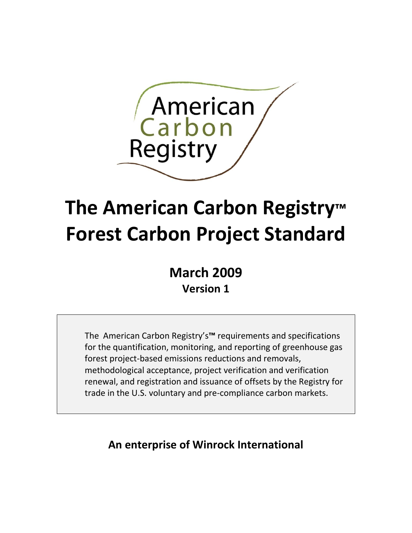

# **The American Carbon Registry™ Forest Carbon Project Standard**

**March 2009 Version 1**

The American Carbon Registry's**™** requirements and specifications for the quantification, monitoring, and reporting of greenhouse gas forest project-based emissions reductions and removals, methodological acceptance, project verification and verification renewal, and registration and issuance of offsets by the Registry for trade in the U.S. voluntary and pre-compliance carbon markets.

**An enterprise of Winrock International**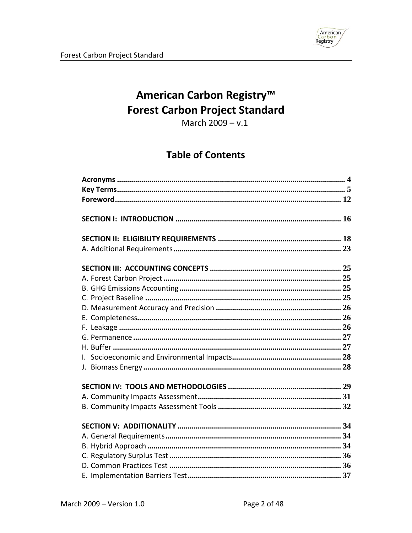

# American Carbon Registry<sup>™</sup> **Forest Carbon Project Standard**

March 2009 - v.1

# **Table of Contents**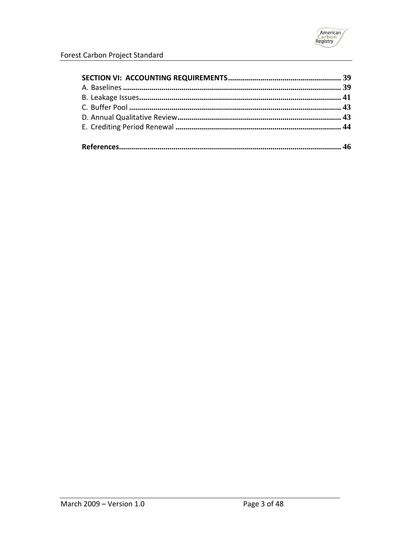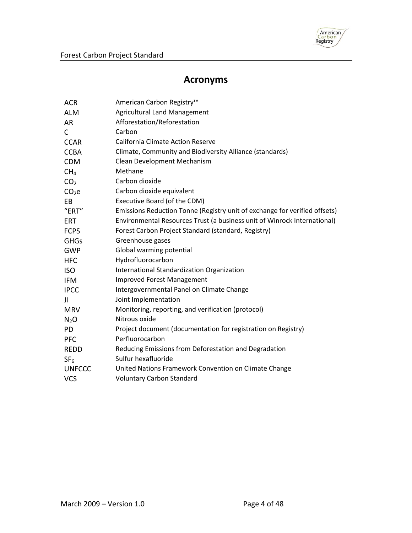

# **Acronyms**

| <b>ACR</b>        | American Carbon Registry <sup>™</sup>                                      |
|-------------------|----------------------------------------------------------------------------|
| <b>ALM</b>        | <b>Agricultural Land Management</b>                                        |
| <b>AR</b>         | Afforestation/Reforestation                                                |
| $\mathsf{C}$      | Carbon                                                                     |
| <b>CCAR</b>       | <b>California Climate Action Reserve</b>                                   |
| <b>CCBA</b>       | Climate, Community and Biodiversity Alliance (standards)                   |
| <b>CDM</b>        | Clean Development Mechanism                                                |
| CH <sub>4</sub>   | Methane                                                                    |
| CO <sub>2</sub>   | Carbon dioxide                                                             |
| CO <sub>2</sub> e | Carbon dioxide equivalent                                                  |
| EB                | Executive Board (of the CDM)                                               |
| "ERT"             | Emissions Reduction Tonne (Registry unit of exchange for verified offsets) |
| <b>ERT</b>        | Environmental Resources Trust (a business unit of Winrock International)   |
| <b>FCPS</b>       | Forest Carbon Project Standard (standard, Registry)                        |
| <b>GHGs</b>       | Greenhouse gases                                                           |
| <b>GWP</b>        | Global warming potential                                                   |
| <b>HFC</b>        | Hydrofluorocarbon                                                          |
| <b>ISO</b>        | International Standardization Organization                                 |
| IFM               | <b>Improved Forest Management</b>                                          |
| <b>IPCC</b>       | Intergovernmental Panel on Climate Change                                  |
| Л                 | Joint Implementation                                                       |
| <b>MRV</b>        | Monitoring, reporting, and verification (protocol)                         |
| $N_2O$            | Nitrous oxide                                                              |
| PD                | Project document (documentation for registration on Registry)              |
| <b>PFC</b>        | Perfluorocarbon                                                            |
| <b>REDD</b>       | Reducing Emissions from Deforestation and Degradation                      |
| SF <sub>6</sub>   | Sulfur hexafluoride                                                        |
| <b>UNFCCC</b>     | United Nations Framework Convention on Climate Change                      |
| <b>VCS</b>        | <b>Voluntary Carbon Standard</b>                                           |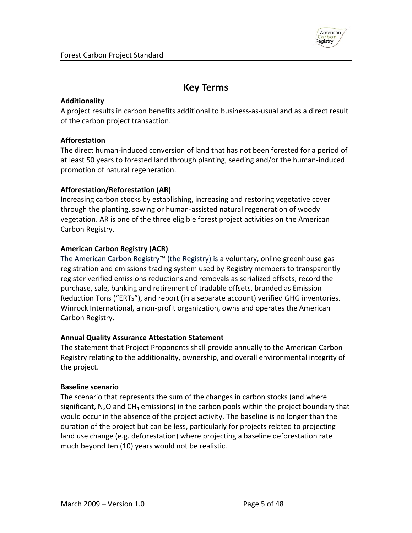

# **Key Terms**

#### **Additionality**

A project results in carbon benefits additional to business-as-usual and as a direct result of the carbon project transaction.

#### **Afforestation**

The direct human-induced conversion of land that has not been forested for a period of at least 50 years to forested land through planting, seeding and/or the human-induced promotion of natural regeneration.

#### **Afforestation/Reforestation (AR)**

Increasing carbon stocks by establishing, increasing and restoring vegetative cover through the planting, sowing or human-assisted natural regeneration of woody vegetation. AR is one of the three eligible forest project activities on the American Carbon Registry.

#### **American Carbon Registry (ACR)**

The American Carbon Registry™ (the Registry) is a voluntary, online greenhouse gas registration and emissions trading system used by Registry members to transparently register verified emissions reductions and removals as serialized offsets; record the purchase, sale, banking and retirement of tradable offsets, branded as Emission Reduction Tons ("ERTs"), and report (in a separate account) verified GHG inventories. Winrock International, a non-profit organization, owns and operates the American Carbon Registry.

#### **Annual Quality Assurance Attestation Statement**

The statement that Project Proponents shall provide annually to the American Carbon Registry relating to the additionality, ownership, and overall environmental integrity of the project.

#### **Baseline scenario**

The scenario that represents the sum of the changes in carbon stocks (and where significant,  $N_2O$  and CH<sub>4</sub> emissions) in the carbon pools within the project boundary that would occur in the absence of the project activity. The baseline is no longer than the duration of the project but can be less, particularly for projects related to projecting land use change (e.g. deforestation) where projecting a baseline deforestation rate much beyond ten (10) years would not be realistic.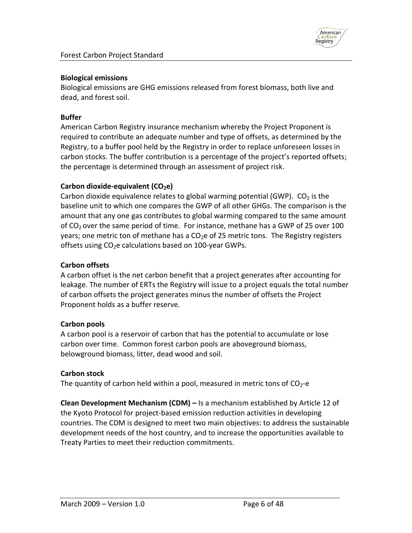

#### **Biological emissions**

Biological emissions are GHG emissions released from forest biomass, both live and dead, and forest soil.

#### **Buffer**

American Carbon Registry insurance mechanism whereby the Project Proponent is required to contribute an adequate number and type of offsets, as determined by the Registry, to a buffer pool held by the Registry in order to replace unforeseen losses in carbon stocks. The buffer contribution is a percentage of the project's reported offsets; the percentage is determined through an assessment of project risk.

#### **Carbon dioxide-equivalent (CO2e)**

Carbon dioxide equivalence relates to global warming potential (GWP).  $CO<sub>2</sub>$  is the baseline unit to which one compares the GWP of all other GHGs. The comparison is the amount that any one gas contributes to global warming compared to the same amount of  $CO<sub>2</sub>$  over the same period of time. For instance, methane has a GWP of 25 over 100 years; one metric ton of methane has a  $CO<sub>2</sub>e$  of 25 metric tons. The Registry registers offsets using  $CO<sub>2</sub>e$  calculations based on 100-year GWPs.

#### **Carbon offsets**

A carbon offset is the net carbon benefit that a project generates after accounting for leakage. The number of ERTs the Registry will issue to a project equals the total number of carbon offsets the project generates minus the number of offsets the Project Proponent holds as a buffer reserve.

#### **Carbon pools**

A carbon pool is a reservoir of carbon that has the potential to accumulate or lose carbon over time. Common forest carbon pools are aboveground biomass, belowground biomass, litter, dead wood and soil.

#### **Carbon stock**

The quantity of carbon held within a pool, measured in metric tons of  $CO<sub>2</sub>$ -e

**Clean Development Mechanism (CDM) –** Is a mechanism established by Article 12 of the Kyoto Protocol for project-based emission reduction activities in developing countries. The CDM is designed to meet two main objectives: to address the sustainable development needs of the host country, and to increase the opportunities available to Treaty Parties to meet their reduction commitments.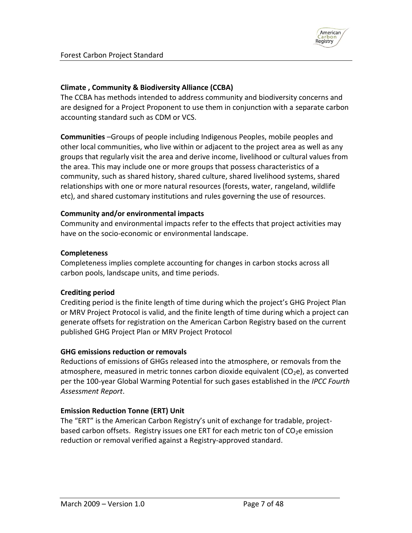

#### **Climate , Community & Biodiversity Alliance (CCBA)**

The CCBA has methods intended to address community and biodiversity concerns and are designed for a Project Proponent to use them in conjunction with a separate carbon accounting standard such as CDM or VCS.

**Communities** –Groups of people including Indigenous Peoples, mobile peoples and other local communities, who live within or adjacent to the project area as well as any groups that regularly visit the area and derive income, livelihood or cultural values from the area. This may include one or more groups that possess characteristics of a community, such as shared history, shared culture, shared livelihood systems, shared relationships with one or more natural resources (forests, water, rangeland, wildlife etc), and shared customary institutions and rules governing the use of resources.

#### **Community and/or environmental impacts**

Community and environmental impacts refer to the effects that project activities may have on the socio-economic or environmental landscape.

#### **Completeness**

Completeness implies complete accounting for changes in carbon stocks across all carbon pools, landscape units, and time periods.

#### **Crediting period**

Crediting period is the finite length of time during which the project's GHG Project Plan or MRV Project Protocol is valid, and the finite length of time during which a project can generate offsets for registration on the American Carbon Registry based on the current published GHG Project Plan or MRV Project Protocol

#### **GHG emissions reduction or removals**

Reductions of emissions of GHGs released into the atmosphere, or removals from the atmosphere, measured in metric tonnes carbon dioxide equivalent  $(CO<sub>2</sub>e)$ , as converted per the 100-year Global Warming Potential for such gases established in the *IPCC Fourth Assessment Report*.

#### **Emission Reduction Tonne (ERT) Unit**

The "ERT" is the American Carbon Registry's unit of exchange for tradable, projectbased carbon offsets. Registry issues one ERT for each metric ton of  $CO<sub>2</sub>e$  emission reduction or removal verified against a Registry-approved standard.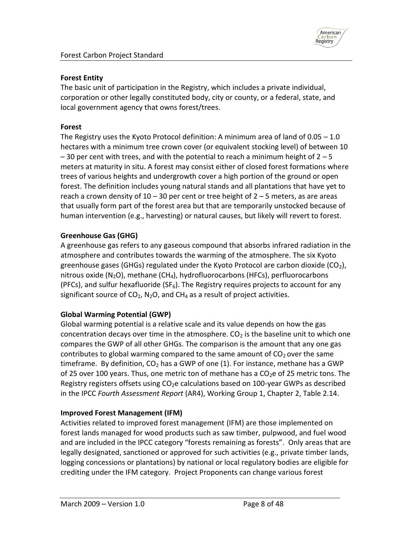

#### **Forest Entity**

The basic unit of participation in the Registry, which includes a private individual, corporation or other legally constituted body, city or county, or a federal, state, and local government agency that owns forest/trees.

#### **Forest**

The Registry uses the Kyoto Protocol definition: A minimum area of land of  $0.05 - 1.0$ hectares with a minimum tree crown cover (or equivalent stocking level) of between 10  $-$  30 per cent with trees, and with the potential to reach a minimum height of  $2 - 5$ meters at maturity in situ. A forest may consist either of closed forest formations where trees of various heights and undergrowth cover a high portion of the ground or open forest. The definition includes young natural stands and all plantations that have yet to reach a crown density of  $10 - 30$  per cent or tree height of  $2 - 5$  meters, as are areas that usually form part of the forest area but that are temporarily unstocked because of human intervention (e.g., harvesting) or natural causes, but likely will revert to forest.

#### **Greenhouse Gas (GHG)**

A greenhouse gas refers to any gaseous compound that absorbs infrared radiation in the atmosphere and contributes towards the warming of the atmosphere. The six Kyoto greenhouse gases (GHGs) regulated under the Kyoto Protocol are carbon dioxide ( $CO<sub>2</sub>$ ), nitrous oxide  $(N_2O)$ , methane  $(CH_4)$ , hydrofluorocarbons (HFCs), perfluorocarbons (PFCs), and sulfur hexafluoride ( $SF<sub>6</sub>$ ). The Registry requires projects to account for any significant source of  $CO<sub>2</sub>$ , N<sub>2</sub>O, and CH<sub>4</sub> as a result of project activities.

#### **Global Warming Potential (GWP)**

Global warming potential is a relative scale and its value depends on how the gas concentration decays over time in the atmosphere.  $CO<sub>2</sub>$  is the baseline unit to which one compares the GWP of all other GHGs. The comparison is the amount that any one gas contributes to global warming compared to the same amount of  $CO<sub>2</sub>$  over the same timeframe. By definition,  $CO<sub>2</sub>$  has a GWP of one (1). For instance, methane has a GWP of 25 over 100 years. Thus, one metric ton of methane has a  $CO<sub>2</sub>e$  of 25 metric tons. The Registry registers offsets using  $CO<sub>2</sub>e$  calculations based on 100-year GWPs as described in the IPCC *Fourth Assessment Report* (AR4), Working Group 1, Chapter 2, Table 2.14.

#### **Improved Forest Management (IFM)**

Activities related to improved forest management (IFM) are those implemented on forest lands managed for wood products such as saw timber, pulpwood, and fuel wood and are included in the IPCC category "forests remaining as forests". Only areas that are legally designated, sanctioned or approved for such activities (e.g., private timber lands, logging concessions or plantations) by national or local regulatory bodies are eligible for crediting under the IFM category. Project Proponents can change various forest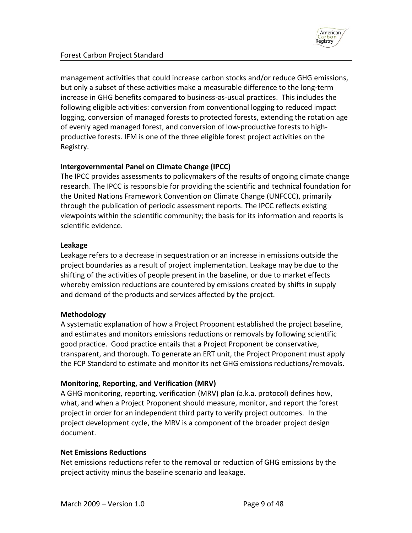

management activities that could increase carbon stocks and/or reduce GHG emissions, but only a subset of these activities make a measurable difference to the long-term increase in GHG benefits compared to business-as-usual practices. This includes the following eligible activities: conversion from conventional logging to reduced impact logging, conversion of managed forests to protected forests, extending the rotation age of evenly aged managed forest, and conversion of low-productive forests to highproductive forests. IFM is one of the three eligible forest project activities on the Registry.

#### **Intergovernmental Panel on Climate Change (IPCC)**

The IPCC provides assessments to policymakers of the results of ongoing climate change research. The IPCC is responsible for providing the scientific and technical foundation for the United Nations Framework Convention on Climate Change (UNFCCC), primarily through the publication of periodic assessment reports. The IPCC reflects existing viewpoints within the scientific community; the basis for its information and reports is scientific evidence.

#### **Leakage**

Leakage refers to a decrease in sequestration or an increase in emissions outside the project boundaries as a result of project implementation. Leakage may be due to the shifting of the activities of people present in the baseline, or due to market effects whereby emission reductions are countered by emissions created by shifts in supply and demand of the products and services affected by the project.

#### **Methodology**

A systematic explanation of how a Project Proponent established the project baseline, and estimates and monitors emissions reductions or removals by following scientific good practice. Good practice entails that a Project Proponent be conservative, transparent, and thorough. To generate an ERT unit, the Project Proponent must apply the FCP Standard to estimate and monitor its net GHG emissions reductions/removals.

#### **Monitoring, Reporting, and Verification (MRV)**

A GHG monitoring, reporting, verification (MRV) plan (a.k.a. protocol) defines how, what, and when a Project Proponent should measure, monitor, and report the forest project in order for an independent third party to verify project outcomes. In the project development cycle, the MRV is a component of the broader project design document.

#### **Net Emissions Reductions**

Net emissions reductions refer to the removal or reduction of GHG emissions by the project activity minus the baseline scenario and leakage.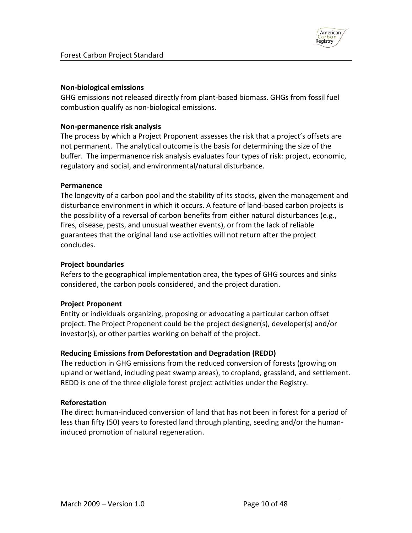

#### **Non-biological emissions**

GHG emissions not released directly from plant-based biomass. GHGs from fossil fuel combustion qualify as non-biological emissions.

#### **Non-permanence risk analysis**

The process by which a Project Proponent assesses the risk that a project's offsets are not permanent. The analytical outcome is the basis for determining the size of the buffer. The impermanence risk analysis evaluates four types of risk: project, economic, regulatory and social, and environmental/natural disturbance.

#### **Permanence**

The longevity of a carbon pool and the stability of its stocks, given the management and disturbance environment in which it occurs. A feature of land-based carbon projects is the possibility of a reversal of carbon benefits from either natural disturbances (e.g., fires, disease, pests, and unusual weather events), or from the lack of reliable guarantees that the original land use activities will not return after the project concludes.

#### **Project boundaries**

Refers to the geographical implementation area, the types of GHG sources and sinks considered, the carbon pools considered, and the project duration.

#### **Project Proponent**

Entity or individuals organizing, proposing or advocating a particular carbon offset project. The Project Proponent could be the project designer(s), developer(s) and/or investor(s), or other parties working on behalf of the project.

#### **Reducing Emissions from Deforestation and Degradation (REDD)**

The reduction in GHG emissions from the reduced conversion of forests (growing on upland or wetland, including peat swamp areas), to cropland, grassland, and settlement. REDD is one of the three eligible forest project activities under the Registry.

#### **Reforestation**

The direct human-induced conversion of land that has not been in forest for a period of less than fifty (50) years to forested land through planting, seeding and/or the humaninduced promotion of natural regeneration.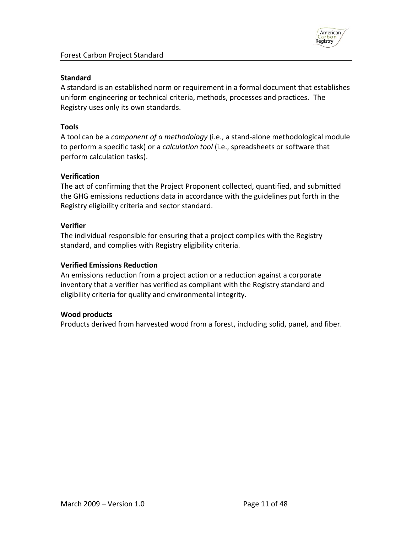

#### **Standard**

A standard is an established norm or requirement in a formal document that establishes uniform engineering or technical criteria, methods, processes and practices. The Registry uses only its own standards.

#### **Tools**

A tool can be a *component of a methodology* (i.e., a stand-alone methodological module to perform a specific task) or a *calculation tool* (i.e., spreadsheets or software that perform calculation tasks).

#### **Verification**

The act of confirming that the Project Proponent collected, quantified, and submitted the GHG emissions reductions data in accordance with the guidelines put forth in the Registry eligibility criteria and sector standard.

#### **Verifier**

The individual responsible for ensuring that a project complies with the Registry standard, and complies with Registry eligibility criteria.

#### **Verified Emissions Reduction**

An emissions reduction from a project action or a reduction against a corporate inventory that a verifier has verified as compliant with the Registry standard and eligibility criteria for quality and environmental integrity.

#### **Wood products**

Products derived from harvested wood from a forest, including solid, panel, and fiber.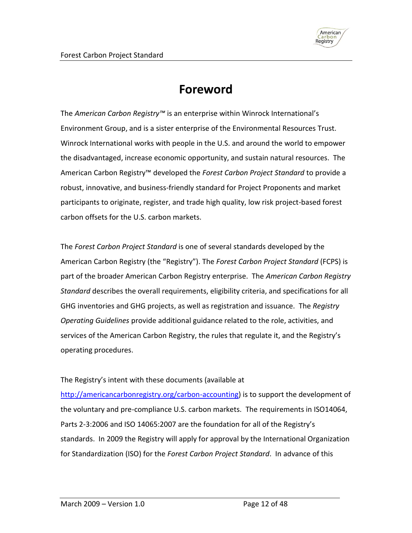

# **Foreword**

The *American Carbon Registry™* is an enterprise within Winrock International's Environment Group, and is a sister enterprise of the Environmental Resources Trust. Winrock International works with people in the U.S. and around the world to empower the disadvantaged, increase economic opportunity, and sustain natural resources. The American Carbon Registry™ developed the *Forest Carbon Project Standard* to provide a robust, innovative, and business-friendly standard for Project Proponents and market participants to originate, register, and trade high quality, low risk project-based forest carbon offsets for the U.S. carbon markets.

The *Forest Carbon Project Standard* is one of several standards developed by the American Carbon Registry (the "Registry"). The *Forest Carbon Project Standard* (FCPS) is part of the broader American Carbon Registry enterprise. The *American Carbon Registry Standard* describes the overall requirements, eligibility criteria, and specifications for all GHG inventories and GHG projects, as well as registration and issuance. The *Registry Operating Guidelines* provide additional guidance related to the role, activities, and services of the American Carbon Registry, the rules that regulate it, and the Registry's operating procedures.

#### The Registry's intent with these documents (available at

[http://americancarbonregistry.org/carbon-accounting\)](http://americancarbonregistry.org/carbon-accounting) is to support the development of the voluntary and pre-compliance U.S. carbon markets. The requirements in ISO14064, Parts 2-3:2006 and ISO 14065:2007 are the foundation for all of the Registry's standards. In 2009 the Registry will apply for approval by the International Organization for Standardization (ISO) for the *Forest Carbon Project Standard*. In advance of this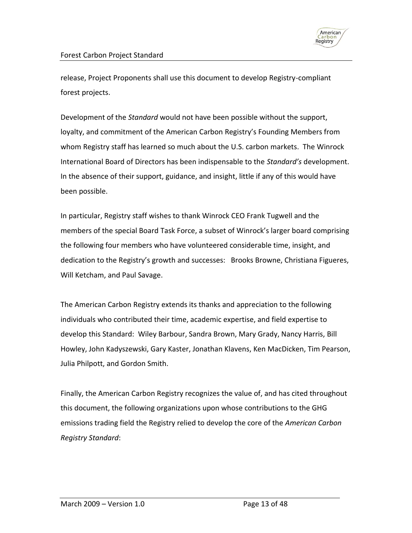

release, Project Proponents shall use this document to develop Registry-compliant forest projects.

Development of the *Standard* would not have been possible without the support, loyalty, and commitment of the American Carbon Registry's Founding Members from whom Registry staff has learned so much about the U.S. carbon markets. The Winrock International Board of Directors has been indispensable to the *Standard's* development. In the absence of their support, guidance, and insight, little if any of this would have been possible.

In particular, Registry staff wishes to thank Winrock CEO Frank Tugwell and the members of the special Board Task Force, a subset of Winrock's larger board comprising the following four members who have volunteered considerable time, insight, and dedication to the Registry's growth and successes: Brooks Browne, Christiana Figueres, Will Ketcham, and Paul Savage.

The American Carbon Registry extends its thanks and appreciation to the following individuals who contributed their time, academic expertise, and field expertise to develop this Standard: Wiley Barbour, Sandra Brown, Mary Grady, Nancy Harris, Bill Howley, John Kadyszewski, Gary Kaster, Jonathan Klavens, Ken MacDicken, Tim Pearson, Julia Philpott, and Gordon Smith.

Finally, the American Carbon Registry recognizes the value of, and has cited throughout this document, the following organizations upon whose contributions to the GHG emissions trading field the Registry relied to develop the core of the *American Carbon Registry Standard*: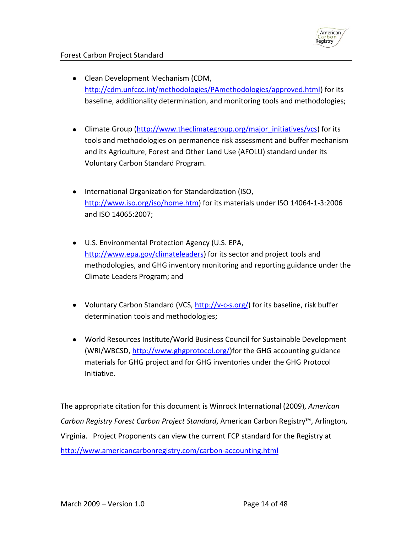

- Clean Development Mechanism (CDM, [http://cdm.unfccc.int/methodologies/PAmethodologies/approved.html\)](http://cdm.unfccc.int/methodologies/PAmethodologies/approved.html) for its baseline, additionality determination, and monitoring tools and methodologies;
- Climate Group [\(http://www.theclimategroup.org/major\\_initiatives/vcs\)](http://www.theclimategroup.org/major_initiatives/vcs) for its tools and methodologies on permanence risk assessment and buffer mechanism and its Agriculture, Forest and Other Land Use (AFOLU) standard under its Voluntary Carbon Standard Program.
- International Organization for Standardization (ISO, [http://www.iso.org/iso/home.htm\)](http://www.iso.org/iso/home.htm) for its materials under ISO 14064-1-3:2006 and ISO 14065:2007;
- U.S. Environmental Protection Agency (U.S. EPA, [http://www.epa.gov/climateleaders\)](http://www.epa.gov/climateleaders) for its sector and project tools and methodologies, and GHG inventory monitoring and reporting guidance under the Climate Leaders Program; and
- Voluntary Carbon Standard (VCS,  $http://v-c-s.org/)$  for its baseline, risk buffer determination tools and methodologies;
- World Resources Institute/World Business Council for Sustainable Development (WRI/WBCSD, [http://www.ghgprotocol.org/\)](http://www.ghgprotocol.org/)for the GHG accounting guidance materials for GHG project and for GHG inventories under the GHG Protocol Initiative.

The appropriate citation for this document is Winrock International (2009), *American Carbon Registry Forest Carbon Project Standard*, American Carbon Registry™, Arlington, Virginia. Project Proponents can view the current FCP standard for the Registry at <http://www.americancarbonregistry.com/carbon-accounting.html>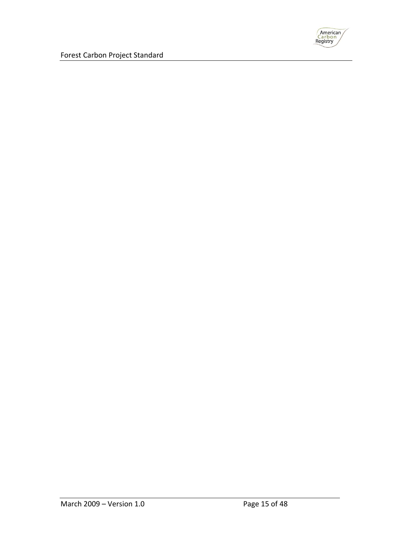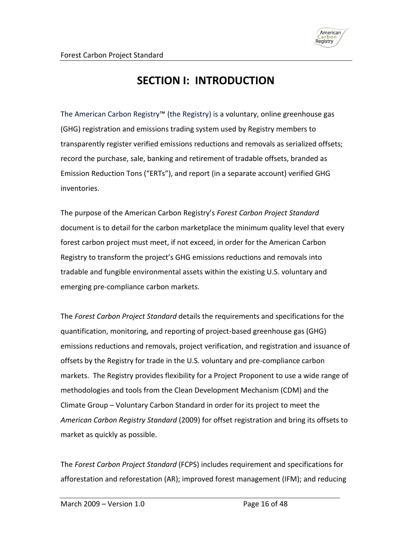

# **SECTION I: INTRODUCTION**

The American Carbon Registry™ (the Registry) is a voluntary, online greenhouse gas (GHG) registration and emissions trading system used by Registry members to transparently register verified emissions reductions and removals as serialized offsets; record the purchase, sale, banking and retirement of tradable offsets, branded as Emission Reduction Tons ("ERTs"), and report (in a separate account) verified GHG inventories.

The purpose of the American Carbon Registry's *Forest Carbon Project Standard* document is to detail for the carbon marketplace the minimum quality level that every forest carbon project must meet, if not exceed, in order for the American Carbon Registry to transform the project's GHG emissions reductions and removals into tradable and fungible environmental assets within the existing U.S. voluntary and emerging pre-compliance carbon markets.

The *Forest Carbon Project Standard* details the requirements and specifications for the quantification, monitoring, and reporting of project-based greenhouse gas (GHG) emissions reductions and removals, project verification, and registration and issuance of offsets by the Registry for trade in the U.S. voluntary and pre-compliance carbon markets. The Registry provides flexibility for a Project Proponent to use a wide range of methodologies and tools from the Clean Development Mechanism (CDM) and the Climate Group – Voluntary Carbon Standard in order for its project to meet the *American Carbon Registry Standard* (2009) for offset registration and bring its offsets to market as quickly as possible.

The *Forest Carbon Project Standard* (FCPS) includes requirement and specifications for afforestation and reforestation (AR); improved forest management (IFM); and reducing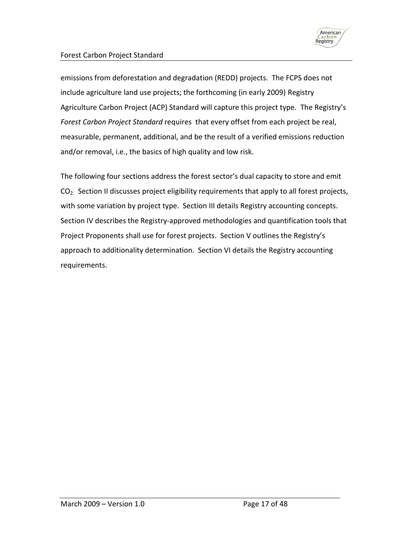

emissions from deforestation and degradation (REDD) projects. The FCPS does not include agriculture land use projects; the forthcoming (in early 2009) Registry Agriculture Carbon Project (ACP) Standard will capture this project type. The Registry's *Forest Carbon Project Standard* requires that every offset from each project be real, measurable, permanent, additional, and be the result of a verified emissions reduction and/or removal, i.e., the basics of high quality and low risk.

The following four sections address the forest sector's dual capacity to store and emit CO<sub>2.</sub> Section II discusses project eligibility requirements that apply to all forest projects, with some variation by project type. Section III details Registry accounting concepts. Section IV describes the Registry-approved methodologies and quantification tools that Project Proponents shall use for forest projects. Section V outlines the Registry's approach to additionality determination. Section VI details the Registry accounting requirements.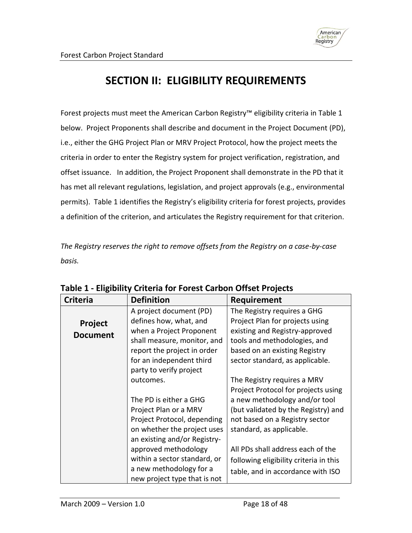

# **SECTION II: ELIGIBILITY REQUIREMENTS**

Forest projects must meet the American Carbon Registry™ eligibility criteria in Table 1 below. Project Proponents shall describe and document in the Project Document (PD), i.e., either the GHG Project Plan or MRV Project Protocol, how the project meets the criteria in order to enter the Registry system for project verification, registration, and offset issuance. In addition, the Project Proponent shall demonstrate in the PD that it has met all relevant regulations, legislation, and project approvals (e.g., environmental permits). Table 1 identifies the Registry's eligibility criteria for forest projects, provides a definition of the criterion, and articulates the Registry requirement for that criterion.

*The Registry reserves the right to remove offsets from the Registry on a case-by-case basis.* 

| <b>Criteria</b> | <b>Definition</b>            | Requirement                            |
|-----------------|------------------------------|----------------------------------------|
|                 | A project document (PD)      | The Registry requires a GHG            |
| Project         | defines how, what, and       | Project Plan for projects using        |
| <b>Document</b> | when a Project Proponent     | existing and Registry-approved         |
|                 | shall measure, monitor, and  | tools and methodologies, and           |
|                 | report the project in order  | based on an existing Registry          |
|                 | for an independent third     | sector standard, as applicable.        |
|                 | party to verify project      |                                        |
|                 | outcomes.                    | The Registry requires a MRV            |
|                 |                              | Project Protocol for projects using    |
|                 | The PD is either a GHG       | a new methodology and/or tool          |
|                 | Project Plan or a MRV        | (but validated by the Registry) and    |
|                 | Project Protocol, depending  | not based on a Registry sector         |
|                 | on whether the project uses  | standard, as applicable.               |
|                 | an existing and/or Registry- |                                        |
|                 | approved methodology         | All PDs shall address each of the      |
|                 | within a sector standard, or | following eligibility criteria in this |
|                 | a new methodology for a      | table, and in accordance with ISO      |
|                 | new project type that is not |                                        |

**Table 1 - Eligibility Criteria for Forest Carbon Offset Projects**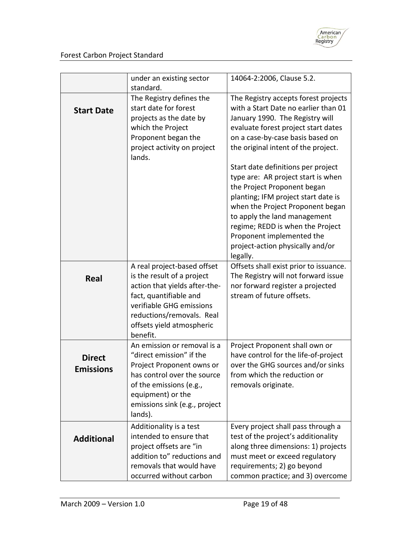

|                                   | under an existing sector<br>standard.                                                                                                                                                                                  | 14064-2:2006, Clause 5.2.                                                                                                                                                                                                                                                                                                                                                                                                                                                                                                                                                |
|-----------------------------------|------------------------------------------------------------------------------------------------------------------------------------------------------------------------------------------------------------------------|--------------------------------------------------------------------------------------------------------------------------------------------------------------------------------------------------------------------------------------------------------------------------------------------------------------------------------------------------------------------------------------------------------------------------------------------------------------------------------------------------------------------------------------------------------------------------|
| <b>Start Date</b>                 | The Registry defines the<br>start date for forest<br>projects as the date by<br>which the Project<br>Proponent began the<br>project activity on project<br>lands.                                                      | The Registry accepts forest projects<br>with a Start Date no earlier than 01<br>January 1990. The Registry will<br>evaluate forest project start dates<br>on a case-by-case basis based on<br>the original intent of the project.<br>Start date definitions per project<br>type are: AR project start is when<br>the Project Proponent began<br>planting; IFM project start date is<br>when the Project Proponent began<br>to apply the land management<br>regime; REDD is when the Project<br>Proponent implemented the<br>project-action physically and/or<br>legally. |
| Real                              | A real project-based offset<br>is the result of a project<br>action that yields after-the-<br>fact, quantifiable and<br>verifiable GHG emissions<br>reductions/removals. Real<br>offsets yield atmospheric<br>benefit. | Offsets shall exist prior to issuance.<br>The Registry will not forward issue<br>nor forward register a projected<br>stream of future offsets.                                                                                                                                                                                                                                                                                                                                                                                                                           |
| <b>Direct</b><br><b>Emissions</b> | An emission or removal is a<br>"direct emission" if the<br>Project Proponent owns or<br>has control over the source<br>of the emissions (e.g.,<br>equipment) or the<br>emissions sink (e.g., project<br>lands).        | Project Proponent shall own or<br>have control for the life-of-project<br>over the GHG sources and/or sinks<br>from which the reduction or<br>removals originate.                                                                                                                                                                                                                                                                                                                                                                                                        |
| <b>Additional</b>                 | Additionality is a test<br>intended to ensure that<br>project offsets are "in<br>addition to" reductions and<br>removals that would have<br>occurred without carbon                                                    | Every project shall pass through a<br>test of the project's additionality<br>along three dimensions: 1) projects<br>must meet or exceed regulatory<br>requirements; 2) go beyond<br>common practice; and 3) overcome                                                                                                                                                                                                                                                                                                                                                     |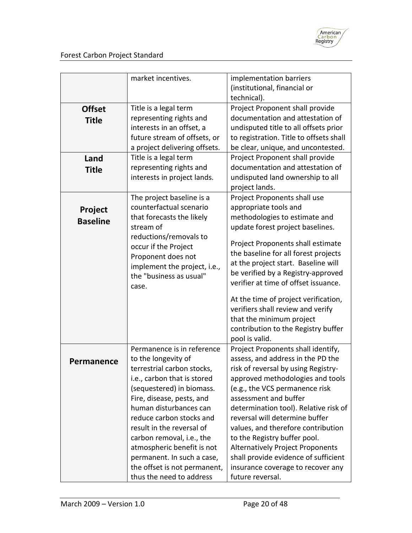

|                   | market incentives.            | implementation barriers                 |
|-------------------|-------------------------------|-----------------------------------------|
|                   |                               | (institutional, financial or            |
|                   |                               | technical).                             |
| <b>Offset</b>     | Title is a legal term         | Project Proponent shall provide         |
| <b>Title</b>      | representing rights and       | documentation and attestation of        |
|                   | interests in an offset, a     | undisputed title to all offsets prior   |
|                   | future stream of offsets, or  | to registration. Title to offsets shall |
|                   | a project delivering offsets. | be clear, unique, and uncontested.      |
| Land              | Title is a legal term         | Project Proponent shall provide         |
| <b>Title</b>      | representing rights and       | documentation and attestation of        |
|                   | interests in project lands.   | undisputed land ownership to all        |
|                   |                               | project lands.                          |
|                   | The project baseline is a     | Project Proponents shall use            |
| Project           | counterfactual scenario       | appropriate tools and                   |
| <b>Baseline</b>   | that forecasts the likely     | methodologies to estimate and           |
|                   | stream of                     | update forest project baselines.        |
|                   | reductions/removals to        |                                         |
|                   | occur if the Project          | Project Proponents shall estimate       |
|                   | Proponent does not            | the baseline for all forest projects    |
|                   | implement the project, i.e.,  | at the project start. Baseline will     |
|                   | the "business as usual"       | be verified by a Registry-approved      |
|                   | case.                         | verifier at time of offset issuance.    |
|                   |                               | At the time of project verification,    |
|                   |                               | verifiers shall review and verify       |
|                   |                               | that the minimum project                |
|                   |                               | contribution to the Registry buffer     |
|                   |                               | pool is valid.                          |
|                   | Permanence is in reference    | Project Proponents shall identify,      |
| <b>Permanence</b> | to the longevity of           | assess, and address in the PD the       |
|                   | terrestrial carbon stocks,    | risk of reversal by using Registry-     |
|                   | i.e., carbon that is stored   | approved methodologies and tools        |
|                   | (sequestered) in biomass.     | (e.g., the VCS permanence risk          |
|                   | Fire, disease, pests, and     | assessment and buffer                   |
|                   | human disturbances can        | determination tool). Relative risk of   |
|                   | reduce carbon stocks and      | reversal will determine buffer          |
|                   | result in the reversal of     | values, and therefore contribution      |
|                   | carbon removal, i.e., the     | to the Registry buffer pool.            |
|                   | atmospheric benefit is not    | <b>Alternatively Project Proponents</b> |
|                   | permanent. In such a case,    | shall provide evidence of sufficient    |
|                   | the offset is not permanent,  | insurance coverage to recover any       |
|                   | thus the need to address      | future reversal.                        |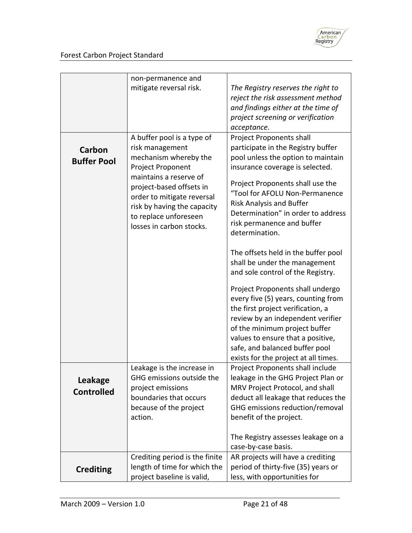

|                    | non-permanence and                                                                                                                                                   |                                                                                                                                                                                                                                                                                                   |
|--------------------|----------------------------------------------------------------------------------------------------------------------------------------------------------------------|---------------------------------------------------------------------------------------------------------------------------------------------------------------------------------------------------------------------------------------------------------------------------------------------------|
|                    | mitigate reversal risk.                                                                                                                                              | The Registry reserves the right to<br>reject the risk assessment method                                                                                                                                                                                                                           |
|                    |                                                                                                                                                                      | and findings either at the time of                                                                                                                                                                                                                                                                |
|                    |                                                                                                                                                                      | project screening or verification                                                                                                                                                                                                                                                                 |
|                    |                                                                                                                                                                      | acceptance.                                                                                                                                                                                                                                                                                       |
|                    | A buffer pool is a type of                                                                                                                                           | Project Proponents shall                                                                                                                                                                                                                                                                          |
| Carbon             | risk management<br>mechanism whereby the                                                                                                                             | participate in the Registry buffer<br>pool unless the option to maintain                                                                                                                                                                                                                          |
| <b>Buffer Pool</b> | Project Proponent                                                                                                                                                    | insurance coverage is selected.                                                                                                                                                                                                                                                                   |
|                    | maintains a reserve of<br>project-based offsets in<br>order to mitigate reversal<br>risk by having the capacity<br>to replace unforeseen<br>losses in carbon stocks. | Project Proponents shall use the<br>"Tool for AFOLU Non-Permanence<br><b>Risk Analysis and Buffer</b><br>Determination" in order to address<br>risk permanence and buffer<br>determination.                                                                                                       |
|                    |                                                                                                                                                                      | The offsets held in the buffer pool<br>shall be under the management<br>and sole control of the Registry.                                                                                                                                                                                         |
|                    |                                                                                                                                                                      | Project Proponents shall undergo<br>every five (5) years, counting from<br>the first project verification, a<br>review by an independent verifier<br>of the minimum project buffer<br>values to ensure that a positive,<br>safe, and balanced buffer pool<br>exists for the project at all times. |
|                    | Leakage is the increase in                                                                                                                                           | Project Proponents shall include                                                                                                                                                                                                                                                                  |
| Leakage            | GHG emissions outside the                                                                                                                                            | leakage in the GHG Project Plan or                                                                                                                                                                                                                                                                |
| <b>Controlled</b>  | project emissions<br>boundaries that occurs                                                                                                                          | MRV Project Protocol, and shall<br>deduct all leakage that reduces the                                                                                                                                                                                                                            |
|                    | because of the project                                                                                                                                               | GHG emissions reduction/removal                                                                                                                                                                                                                                                                   |
|                    | action.                                                                                                                                                              | benefit of the project.                                                                                                                                                                                                                                                                           |
|                    |                                                                                                                                                                      |                                                                                                                                                                                                                                                                                                   |
|                    |                                                                                                                                                                      | The Registry assesses leakage on a<br>case-by-case basis.                                                                                                                                                                                                                                         |
|                    | Crediting period is the finite                                                                                                                                       | AR projects will have a crediting                                                                                                                                                                                                                                                                 |
| <b>Crediting</b>   | length of time for which the<br>project baseline is valid,                                                                                                           | period of thirty-five (35) years or<br>less, with opportunities for                                                                                                                                                                                                                               |
|                    |                                                                                                                                                                      |                                                                                                                                                                                                                                                                                                   |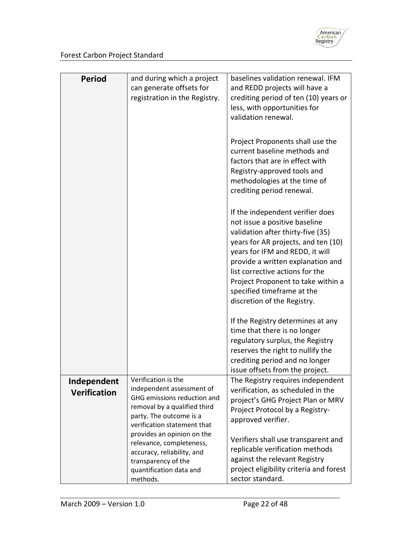

| <b>Period</b>       | and during which a project<br>can generate offsets for<br>registration in the Registry.                                                            | baselines validation renewal. IFM<br>and REDD projects will have a<br>crediting period of ten (10) years or<br>less, with opportunities for<br>validation renewal.                                                                                                                                                                                                                               |
|---------------------|----------------------------------------------------------------------------------------------------------------------------------------------------|--------------------------------------------------------------------------------------------------------------------------------------------------------------------------------------------------------------------------------------------------------------------------------------------------------------------------------------------------------------------------------------------------|
|                     |                                                                                                                                                    | Project Proponents shall use the<br>current baseline methods and<br>factors that are in effect with<br>Registry-approved tools and<br>methodologies at the time of<br>crediting period renewal.                                                                                                                                                                                                  |
|                     |                                                                                                                                                    | If the independent verifier does<br>not issue a positive baseline<br>validation after thirty-five (35)<br>years for AR projects, and ten (10)<br>years for IFM and REDD, it will<br>provide a written explanation and<br>list corrective actions for the<br>Project Proponent to take within a<br>specified timeframe at the<br>discretion of the Registry.<br>If the Registry determines at any |
|                     |                                                                                                                                                    | time that there is no longer<br>regulatory surplus, the Registry<br>reserves the right to nullify the<br>crediting period and no longer<br>issue offsets from the project.                                                                                                                                                                                                                       |
| Independent         | Verification is the                                                                                                                                | The Registry requires independent                                                                                                                                                                                                                                                                                                                                                                |
|                     | independent assessment of                                                                                                                          | verification, as scheduled in the                                                                                                                                                                                                                                                                                                                                                                |
| <b>Verification</b> | GHG emissions reduction and                                                                                                                        | project's GHG Project Plan or MRV                                                                                                                                                                                                                                                                                                                                                                |
|                     | removal by a qualified third                                                                                                                       | Project Protocol by a Registry-                                                                                                                                                                                                                                                                                                                                                                  |
|                     | party. The outcome is a<br>verification statement that                                                                                             | approved verifier.                                                                                                                                                                                                                                                                                                                                                                               |
|                     | provides an opinion on the<br>relevance, completeness,<br>accuracy, reliability, and<br>transparency of the<br>quantification data and<br>methods. | Verifiers shall use transparent and<br>replicable verification methods<br>against the relevant Registry<br>project eligibility criteria and forest<br>sector standard.                                                                                                                                                                                                                           |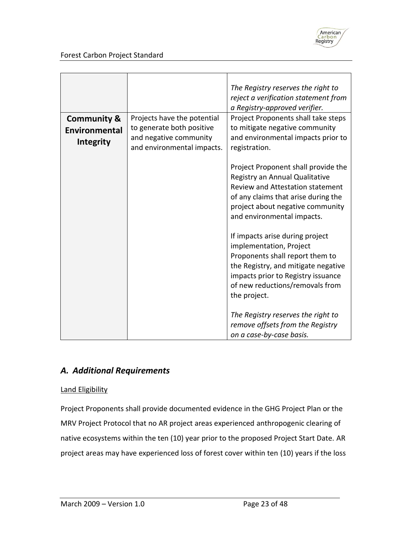

|                                                             |                                                                                                                  | The Registry reserves the right to<br>reject a verification statement from<br>a Registry-approved verifier.                                                                                                                   |
|-------------------------------------------------------------|------------------------------------------------------------------------------------------------------------------|-------------------------------------------------------------------------------------------------------------------------------------------------------------------------------------------------------------------------------|
| <b>Community &amp;</b><br>Environmental<br><b>Integrity</b> | Projects have the potential<br>to generate both positive<br>and negative community<br>and environmental impacts. | Project Proponents shall take steps<br>to mitigate negative community<br>and environmental impacts prior to<br>registration.                                                                                                  |
|                                                             |                                                                                                                  | Project Proponent shall provide the<br>Registry an Annual Qualitative<br>Review and Attestation statement<br>of any claims that arise during the<br>project about negative community<br>and environmental impacts.            |
|                                                             |                                                                                                                  | If impacts arise during project<br>implementation, Project<br>Proponents shall report them to<br>the Registry, and mitigate negative<br>impacts prior to Registry issuance<br>of new reductions/removals from<br>the project. |
|                                                             |                                                                                                                  | The Registry reserves the right to<br>remove offsets from the Registry<br>on a case-by-case basis.                                                                                                                            |

### *A. Additional Requirements*

#### Land Eligibility

Project Proponents shall provide documented evidence in the GHG Project Plan or the MRV Project Protocol that no AR project areas experienced anthropogenic clearing of native ecosystems within the ten (10) year prior to the proposed Project Start Date. AR project areas may have experienced loss of forest cover within ten (10) years if the loss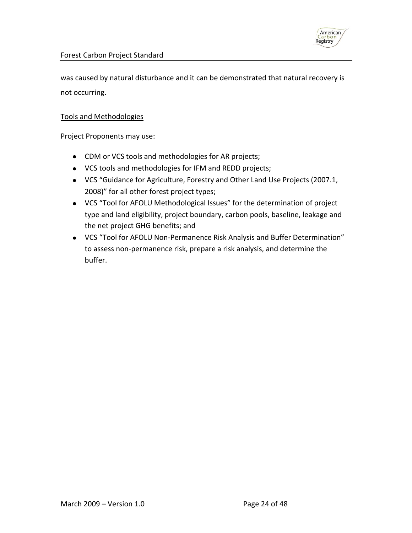

was caused by natural disturbance and it can be demonstrated that natural recovery is not occurring.

#### Tools and Methodologies

Project Proponents may use:

- CDM or VCS tools and methodologies for AR projects;
- VCS tools and methodologies for IFM and REDD projects;
- VCS "Guidance for Agriculture, Forestry and Other Land Use Projects (2007.1, 2008)" for all other forest project types;
- VCS "Tool for AFOLU Methodological Issues" for the determination of project type and land eligibility, project boundary, carbon pools, baseline, leakage and the net project GHG benefits; and
- VCS "Tool for AFOLU Non-Permanence Risk Analysis and Buffer Determination" to assess non-permanence risk, prepare a risk analysis, and determine the buffer.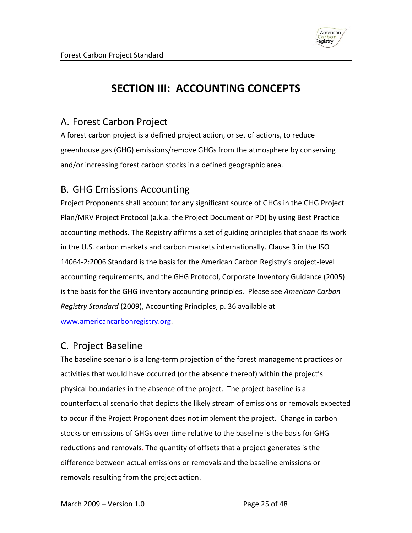

# **SECTION III: ACCOUNTING CONCEPTS**

## A. Forest Carbon Project

A forest carbon project is a defined project action, or set of actions, to reduce greenhouse gas (GHG) emissions/remove GHGs from the atmosphere by conserving and/or increasing forest carbon stocks in a defined geographic area.

# B. GHG Emissions Accounting

Project Proponents shall account for any significant source of GHGs in the GHG Project Plan/MRV Project Protocol (a.k.a. the Project Document or PD) by using Best Practice accounting methods. The Registry affirms a set of guiding principles that shape its work in the U.S. carbon markets and carbon markets internationally. Clause 3 in the ISO 14064-2:2006 Standard is the basis for the American Carbon Registry's project-level accounting requirements, and the GHG Protocol, Corporate Inventory Guidance (2005) is the basis for the GHG inventory accounting principles. Please see *American Carbon Registry Standard* (2009), Accounting Principles, p. 36 available at

[www.americancarbonregistry.org.](http://www.americancarbonregistry.org/)

### C. Project Baseline

The baseline scenario is a long-term projection of the forest management practices or activities that would have occurred (or the absence thereof) within the project's physical boundaries in the absence of the project. The project baseline is a counterfactual scenario that depicts the likely stream of emissions or removals expected to occur if the Project Proponent does not implement the project. Change in carbon stocks or emissions of GHGs over time relative to the baseline is the basis for GHG reductions and removals. The quantity of offsets that a project generates is the difference between actual emissions or removals and the baseline emissions or removals resulting from the project action.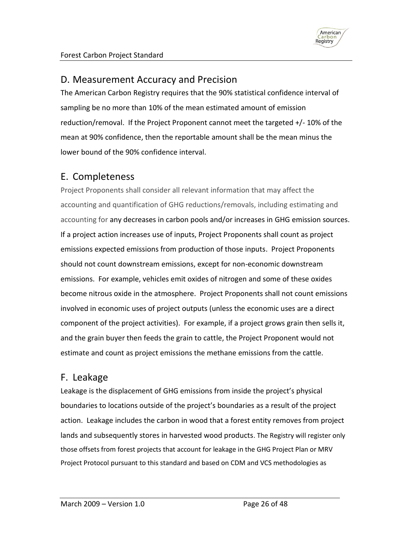

# D. Measurement Accuracy and Precision

The American Carbon Registry requires that the 90% statistical confidence interval of sampling be no more than 10% of the mean estimated amount of emission reduction/removal. If the Project Proponent cannot meet the targeted +/- 10% of the mean at 90% confidence, then the reportable amount shall be the mean minus the lower bound of the 90% confidence interval.

# E. Completeness

Project Proponents shall consider all relevant information that may affect the accounting and quantification of GHG reductions/removals, including estimating and accounting for any decreases in carbon pools and/or increases in GHG emission sources. If a project action increases use of inputs, Project Proponents shall count as project emissions expected emissions from production of those inputs. Project Proponents should not count downstream emissions, except for non-economic downstream emissions. For example, vehicles emit oxides of nitrogen and some of these oxides become nitrous oxide in the atmosphere. Project Proponents shall not count emissions involved in economic uses of project outputs (unless the economic uses are a direct component of the project activities). For example, if a project grows grain then sells it, and the grain buyer then feeds the grain to cattle, the Project Proponent would not estimate and count as project emissions the methane emissions from the cattle.

### F. Leakage

Leakage is the displacement of GHG emissions from inside the project's physical boundaries to locations outside of the project's boundaries as a result of the project action. Leakage includes the carbon in wood that a forest entity removes from project lands and subsequently stores in harvested wood products. The Registry will register only those offsets from forest projects that account for leakage in the GHG Project Plan or MRV Project Protocol pursuant to this standard and based on CDM and VCS methodologies as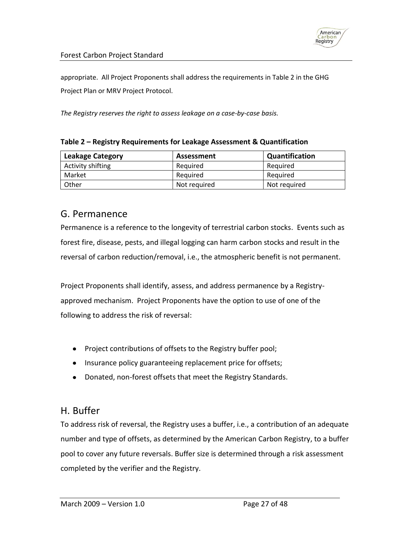

appropriate. All Project Proponents shall address the requirements in Table 2 in the GHG Project Plan or MRV Project Protocol.

*The Registry reserves the right to assess leakage on a case-by-case basis.* 

|  | Table 2 - Registry Requirements for Leakage Assessment & Quantification |
|--|-------------------------------------------------------------------------|
|--|-------------------------------------------------------------------------|

| <b>Leakage Category</b> | Assessment   | Quantification |
|-------------------------|--------------|----------------|
| Activity shifting       | Reguired     | Reguired       |
| Market                  | Required     | Required       |
| Other                   | Not required | Not required   |

### G. Permanence

Permanence is a reference to the longevity of terrestrial carbon stocks. Events such as forest fire, disease, pests, and illegal logging can harm carbon stocks and result in the reversal of carbon reduction/removal, i.e., the atmospheric benefit is not permanent.

Project Proponents shall identify, assess, and address permanence by a Registryapproved mechanism. Project Proponents have the option to use of one of the following to address the risk of reversal:

- Project contributions of offsets to the Registry buffer pool;
- Insurance policy guaranteeing replacement price for offsets;
- Donated, non-forest offsets that meet the Registry Standards.

### H. Buffer

To address risk of reversal, the Registry uses a buffer, i.e., a contribution of an adequate number and type of offsets, as determined by the American Carbon Registry, to a buffer pool to cover any future reversals. Buffer size is determined through a risk assessment completed by the verifier and the Registry.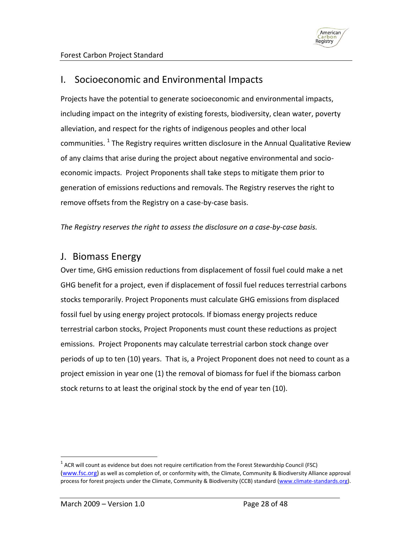

# I. Socioeconomic and Environmental Impacts

Projects have the potential to generate socioeconomic and environmental impacts, including impact on the integrity of existing forests, biodiversity, clean water, poverty alleviation, and respect for the rights of indigenous peoples and other local communities.  $^{1}$  The Registry requires written disclosure in the Annual Qualitative Review of any claims that arise during the project about negative environmental and socioeconomic impacts. Project Proponents shall take steps to mitigate them prior to generation of emissions reductions and removals. The Registry reserves the right to remove offsets from the Registry on a case-by-case basis.

*The Registry reserves the right to assess the disclosure on a case-by-case basis.*

### J. Biomass Energy

Over time, GHG emission reductions from displacement of fossil fuel could make a net GHG benefit for a project, even if displacement of fossil fuel reduces terrestrial carbons stocks temporarily. Project Proponents must calculate GHG emissions from displaced fossil fuel by using energy project protocols. If biomass energy projects reduce terrestrial carbon stocks, Project Proponents must count these reductions as project emissions. Project Proponents may calculate terrestrial carbon stock change over periods of up to ten (10) years. That is, a Project Proponent does not need to count as a project emission in year one (1) the removal of biomass for fuel if the biomass carbon stock returns to at least the original stock by the end of year ten (10).

 $\overline{a}$ 

 $<sup>1</sup>$  ACR will count as evidence but does not require certification from the Forest Stewardship Council (FSC)</sup> [\(www.fsc.org\)](http://www.fsc.org/) as well as completion of, or conformity with, the Climate, Community & Biodiversity Alliance approval process for forest projects under the Climate, Community & Biodiversity (CCB) standard [\(www.climate-standards.org\)](http://www.climate-standards.org/).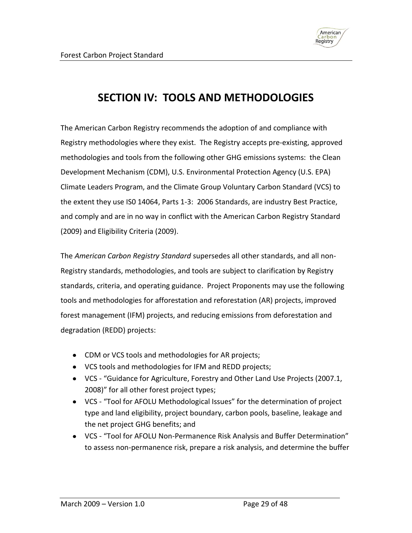

# **SECTION IV: TOOLS AND METHODOLOGIES**

The American Carbon Registry recommends the adoption of and compliance with Registry methodologies where they exist. The Registry accepts pre-existing, approved methodologies and tools from the following other GHG emissions systems: the Clean Development Mechanism (CDM), U.S. Environmental Protection Agency (U.S. EPA) Climate Leaders Program, and the Climate Group Voluntary Carbon Standard (VCS) to the extent they use IS0 14064, Parts 1-3: 2006 Standards, are industry Best Practice, and comply and are in no way in conflict with the American Carbon Registry Standard (2009) and Eligibility Criteria (2009).

The *American Carbon Registry Standard* supersedes all other standards, and all non-Registry standards, methodologies, and tools are subject to clarification by Registry standards, criteria, and operating guidance. Project Proponents may use the following tools and methodologies for afforestation and reforestation (AR) projects, improved forest management (IFM) projects, and reducing emissions from deforestation and degradation (REDD) projects:

- CDM or VCS tools and methodologies for AR projects;
- VCS tools and methodologies for IFM and REDD projects;
- VCS "Guidance for Agriculture, Forestry and Other Land Use Projects (2007.1, 2008)" for all other forest project types;
- VCS "Tool for AFOLU Methodological Issues" for the determination of project type and land eligibility, project boundary, carbon pools, baseline, leakage and the net project GHG benefits; and
- VCS "Tool for AFOLU Non-Permanence Risk Analysis and Buffer Determination" to assess non-permanence risk, prepare a risk analysis, and determine the buffer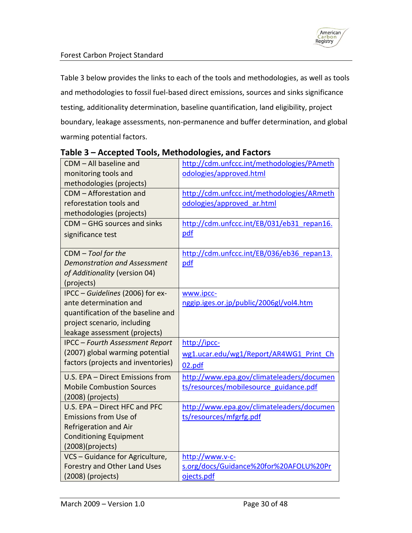

Table 3 below provides the links to each of the tools and methodologies, as well as tools and methodologies to fossil fuel-based direct emissions, sources and sinks significance testing, additionality determination, baseline quantification, land eligibility, project boundary, leakage assessments, non-permanence and buffer determination, and global warming potential factors.

| CDM - All baseline and                 | http://cdm.unfccc.int/methodologies/PAmeth |
|----------------------------------------|--------------------------------------------|
| monitoring tools and                   | odologies/approved.html                    |
| methodologies (projects)               |                                            |
| CDM - Afforestation and                | http://cdm.unfccc.int/methodologies/ARmeth |
| reforestation tools and                | odologies/approved ar.html                 |
| methodologies (projects)               |                                            |
| CDM - GHG sources and sinks            | http://cdm.unfccc.int/EB/031/eb31 repan16. |
|                                        | pdf                                        |
| significance test                      |                                            |
| CDM - Tool for the                     | http://cdm.unfccc.int/EB/036/eb36 repan13. |
| <b>Demonstration and Assessment</b>    | pdf                                        |
| of Additionality (version 04)          |                                            |
| (projects)                             |                                            |
| IPCC - Guidelines (2006) for ex-       | www.ipcc-                                  |
| ante determination and                 | nggip.iges.or.jp/public/2006gl/vol4.htm    |
| quantification of the baseline and     |                                            |
| project scenario, including            |                                            |
| leakage assessment (projects)          |                                            |
| <b>IPCC - Fourth Assessment Report</b> | http://ipcc-                               |
| (2007) global warming potential        | wg1.ucar.edu/wg1/Report/AR4WG1 Print Ch    |
| factors (projects and inventories)     | 02.pdf                                     |
| U.S. EPA - Direct Emissions from       | http://www.epa.gov/climateleaders/documen  |
| <b>Mobile Combustion Sources</b>       | ts/resources/mobilesource guidance.pdf     |
| (2008) (projects)                      |                                            |
| U.S. EPA - Direct HFC and PFC          | http://www.epa.gov/climateleaders/documen  |
| <b>Emissions from Use of</b>           | ts/resources/mfgrfg.pdf                    |
| Refrigeration and Air                  |                                            |
| <b>Conditioning Equipment</b>          |                                            |
| (2008)(projects)                       |                                            |
| VCS - Guidance for Agriculture,        | http://www.v-c-                            |
| <b>Forestry and Other Land Uses</b>    | s.org/docs/Guidance%20for%20AFOLU%20Pr     |
| (2008) (projects)                      | ojects.pdf                                 |

#### **Table 3 – Accepted Tools, Methodologies, and Factors**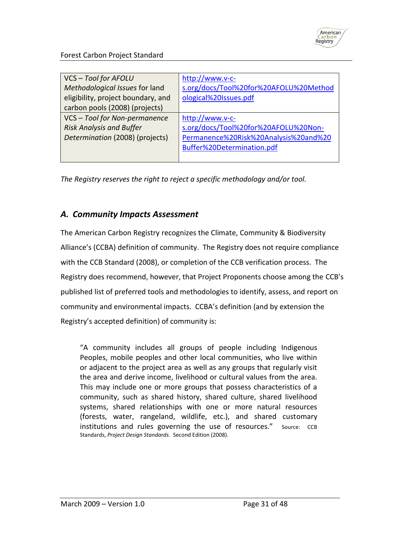

| VCS-Tool for AFOLU                 | http://www.v-c-                        |
|------------------------------------|----------------------------------------|
| Methodological Issues for land     | s.org/docs/Tool%20for%20AFOLU%20Method |
| eligibility, project boundary, and | ological%20Issues.pdf                  |
| carbon pools (2008) (projects)     |                                        |
| VCS - Tool for Non-permanence      | http://www.v-c-                        |
| <b>Risk Analysis and Buffer</b>    | s.org/docs/Tool%20for%20AFOLU%20Non-   |
| Determination (2008) (projects)    | Permanence%20Risk%20Analysis%20and%20  |
|                                    | Buffer%20Determination.pdf             |
|                                    |                                        |

*The Registry reserves the right to reject a specific methodology and/or tool.* 

#### *A. Community Impacts Assessment*

The American Carbon Registry recognizes the Climate, Community & Biodiversity Alliance's (CCBA) definition of community. The Registry does not require compliance with the CCB Standard (2008), or completion of the CCB verification process. The Registry does recommend, however, that Project Proponents choose among the CCB's published list of preferred tools and methodologies to identify, assess, and report on community and environmental impacts. CCBA's definition (and by extension the Registry's accepted definition) of community is:

"A community includes all groups of people including Indigenous Peoples, mobile peoples and other local communities, who live within or adjacent to the project area as well as any groups that regularly visit the area and derive income, livelihood or cultural values from the area. This may include one or more groups that possess characteristics of a community, such as shared history, shared culture, shared livelihood systems, shared relationships with one or more natural resources (forests, water, rangeland, wildlife, etc.), and shared customary institutions and rules governing the use of resources." Source: CCB Standards, *Project Design Standards*. Second Edition (2008).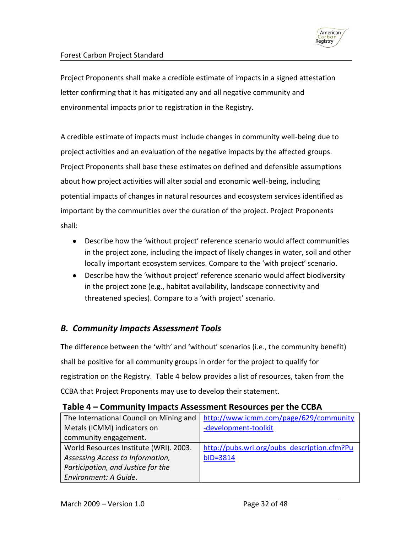

Project Proponents shall make a credible estimate of impacts in a signed attestation letter confirming that it has mitigated any and all negative community and environmental impacts prior to registration in the Registry.

A credible estimate of impacts must include changes in community well-being due to project activities and an evaluation of the negative impacts by the affected groups. Project Proponents shall base these estimates on defined and defensible assumptions about how project activities will alter social and economic well-being, including potential impacts of changes in natural resources and ecosystem services identified as important by the communities over the duration of the project. Project Proponents shall:

- Describe how the 'without project' reference scenario would affect communities in the project zone, including the impact of likely changes in water, soil and other locally important ecosystem services. Compare to the 'with project' scenario.
- Describe how the 'without project' reference scenario would affect biodiversity in the project zone (e.g., habitat availability, landscape connectivity and threatened species). Compare to a 'with project' scenario.

### *B. Community Impacts Assessment Tools*

The difference between the 'with' and 'without' scenarios (i.e., the community benefit) shall be positive for all community groups in order for the project to qualify for registration on the Registry. Table 4 below provides a list of resources, taken from the CCBA that Project Proponents may use to develop their statement.

| http://www.icmm.com/page/629/community      |
|---------------------------------------------|
| -development-toolkit                        |
|                                             |
| http://pubs.wri.org/pubs_description.cfm?Pu |
| $bID = 3814$                                |
|                                             |
|                                             |
|                                             |

#### **Table 4 – Community Impacts Assessment Resources per the CCBA**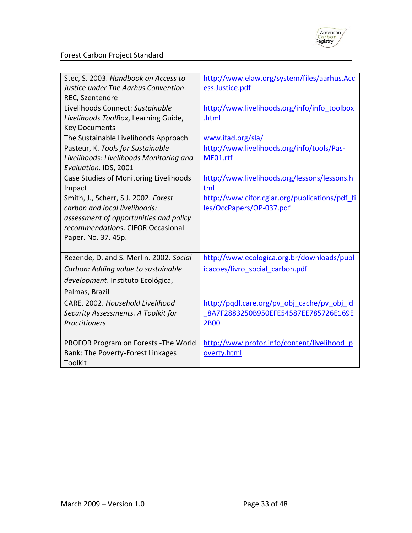

| Stec, S. 2003. Handbook on Access to    | http://www.elaw.org/system/files/aarhus.Acc          |
|-----------------------------------------|------------------------------------------------------|
| Justice under The Aarhus Convention.    | ess.Justice.pdf                                      |
| REC, Szentendre                         |                                                      |
| Livelihoods Connect: Sustainable        | http://www.livelihoods.org/info/info toolbox         |
| Livelihoods ToolBox, Learning Guide,    | .html                                                |
| <b>Key Documents</b>                    |                                                      |
| The Sustainable Livelihoods Approach    | www.ifad.org/sla/                                    |
| Pasteur, K. Tools for Sustainable       | http://www.livelihoods.org/info/tools/Pas-           |
| Livelihoods: Livelihoods Monitoring and | ME01.rtf                                             |
| Evaluation. IDS, 2001                   |                                                      |
| Case Studies of Monitoring Livelihoods  | http://www.livelihoods.org/lessons/lessons.h         |
| Impact                                  | tml                                                  |
| Smith, J., Scherr, S.J. 2002. Forest    | http://www.cifor.cgiar.org/publications/pdf fi       |
| carbon and local livelihoods:           | les/OccPapers/OP-037.pdf                             |
| assessment of opportunities and policy  |                                                      |
| recommendations. CIFOR Occasional       |                                                      |
| Paper. No. 37. 45p.                     |                                                      |
|                                         |                                                      |
| Rezende, D. and S. Merlin. 2002. Social | http://www.ecologica.org.br/downloads/publ           |
| Carbon: Adding value to sustainable     | icacoes/livro social carbon.pdf                      |
| development. Instituto Ecológica,       |                                                      |
| Palmas, Brazil                          |                                                      |
| CARE, 2002. Household Livelihood        | http://pqdl.care.org/pv obj cache/pv obj id          |
| Security Assessments. A Toolkit for     |                                                      |
| Practitioners                           | _8A7F2883250B950EFE54587EE785726E169E<br><b>2B00</b> |
|                                         |                                                      |
| PROFOR Program on Forests - The World   | http://www.profor.info/content/livelihood p          |
| Bank: The Poverty-Forest Linkages       | overty.html                                          |
| <b>Toolkit</b>                          |                                                      |
|                                         |                                                      |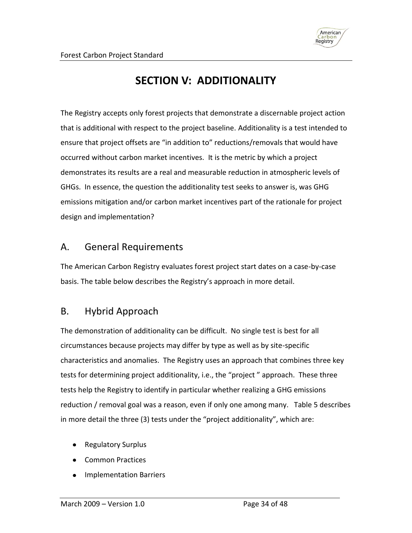

# **SECTION V: ADDITIONALITY**

The Registry accepts only forest projects that demonstrate a discernable project action that is additional with respect to the project baseline. Additionality is a test intended to ensure that project offsets are "in addition to" reductions/removals that would have occurred without carbon market incentives. It is the metric by which a project demonstrates its results are a real and measurable reduction in atmospheric levels of GHGs. In essence, the question the additionality test seeks to answer is, was GHG emissions mitigation and/or carbon market incentives part of the rationale for project design and implementation?

### A. General Requirements

The American Carbon Registry evaluates forest project start dates on a case-by-case basis. The table below describes the Registry's approach in more detail.

# B. Hybrid Approach

The demonstration of additionality can be difficult. No single test is best for all circumstances because projects may differ by type as well as by site-specific characteristics and anomalies. The Registry uses an approach that combines three key tests for determining project additionality, i.e., the "project " approach. These three tests help the Registry to identify in particular whether realizing a GHG emissions reduction / removal goal was a reason, even if only one among many. Table 5 describes in more detail the three (3) tests under the "project additionality", which are:

- Regulatory Surplus
- Common Practices
- Implementation Barriers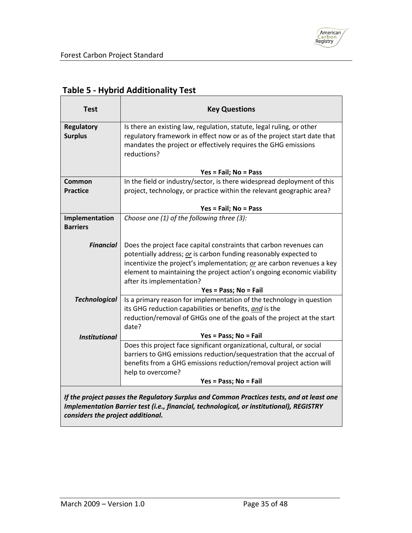

| <b>Test</b>                       | <b>Key Questions</b>                                                                            |  |  |  |  |  |  |  |
|-----------------------------------|-------------------------------------------------------------------------------------------------|--|--|--|--|--|--|--|
|                                   |                                                                                                 |  |  |  |  |  |  |  |
| <b>Regulatory</b>                 | Is there an existing law, regulation, statute, legal ruling, or other                           |  |  |  |  |  |  |  |
| <b>Surplus</b>                    | regulatory framework in effect now or as of the project start date that                         |  |  |  |  |  |  |  |
|                                   | mandates the project or effectively requires the GHG emissions                                  |  |  |  |  |  |  |  |
|                                   | reductions?                                                                                     |  |  |  |  |  |  |  |
|                                   |                                                                                                 |  |  |  |  |  |  |  |
|                                   | Yes = Fail; No = Pass                                                                           |  |  |  |  |  |  |  |
| Common                            | In the field or industry/sector, is there widespread deployment of this                         |  |  |  |  |  |  |  |
| <b>Practice</b>                   | project, technology, or practice within the relevant geographic area?                           |  |  |  |  |  |  |  |
|                                   |                                                                                                 |  |  |  |  |  |  |  |
|                                   | $Yes = Fall; No = Pass$                                                                         |  |  |  |  |  |  |  |
| Implementation                    | Choose one (1) of the following three (3):                                                      |  |  |  |  |  |  |  |
| <b>Barriers</b>                   |                                                                                                 |  |  |  |  |  |  |  |
|                                   |                                                                                                 |  |  |  |  |  |  |  |
| <b>Financial</b>                  | Does the project face capital constraints that carbon revenues can                              |  |  |  |  |  |  |  |
|                                   | potentially address; or is carbon funding reasonably expected to                                |  |  |  |  |  |  |  |
|                                   | incentivize the project's implementation; or are carbon revenues a key                          |  |  |  |  |  |  |  |
|                                   | element to maintaining the project action's ongoing economic viability                          |  |  |  |  |  |  |  |
|                                   | after its implementation?                                                                       |  |  |  |  |  |  |  |
|                                   | Yes = Pass; No = Fail                                                                           |  |  |  |  |  |  |  |
| <b>Technological</b>              | Is a primary reason for implementation of the technology in question                            |  |  |  |  |  |  |  |
|                                   | its GHG reduction capabilities or benefits, and is the                                          |  |  |  |  |  |  |  |
|                                   | reduction/removal of GHGs one of the goals of the project at the start                          |  |  |  |  |  |  |  |
|                                   | date?                                                                                           |  |  |  |  |  |  |  |
| <b>Institutional</b>              | $Yes = Pass; No = Fair$                                                                         |  |  |  |  |  |  |  |
|                                   | Does this project face significant organizational, cultural, or social                          |  |  |  |  |  |  |  |
|                                   | barriers to GHG emissions reduction/sequestration that the accrual of                           |  |  |  |  |  |  |  |
|                                   | benefits from a GHG emissions reduction/removal project action will                             |  |  |  |  |  |  |  |
|                                   | help to overcome?                                                                               |  |  |  |  |  |  |  |
|                                   | $Yes = Pass; No = Fair$                                                                         |  |  |  |  |  |  |  |
|                                   | If the project passes the Regulatory Surplus and Common Practices tests, and at least one       |  |  |  |  |  |  |  |
|                                   | <b>Implementation Barrier test (i.e., financial, technological, or institutional), REGISTRY</b> |  |  |  |  |  |  |  |
| considers the project additional. |                                                                                                 |  |  |  |  |  |  |  |
|                                   |                                                                                                 |  |  |  |  |  |  |  |

# **Table 5 - Hybrid Additionality Test**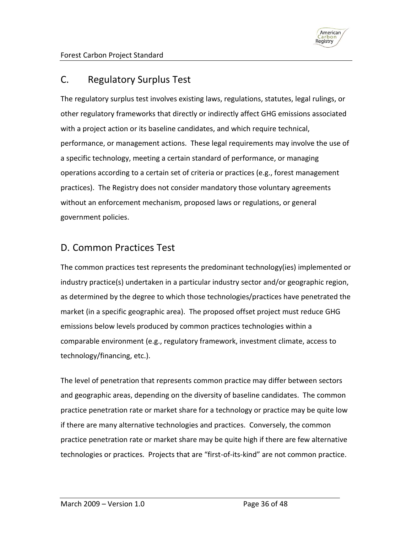

# C. Regulatory Surplus Test

The regulatory surplus test involves existing laws, regulations, statutes, legal rulings, or other regulatory frameworks that directly or indirectly affect GHG emissions associated with a project action or its baseline candidates, and which require technical, performance, or management actions. These legal requirements may involve the use of a specific technology, meeting a certain standard of performance, or managing operations according to a certain set of criteria or practices (e.g., forest management practices). The Registry does not consider mandatory those voluntary agreements without an enforcement mechanism, proposed laws or regulations, or general government policies.

### D. Common Practices Test

The common practices test represents the predominant technology(ies) implemented or industry practice(s) undertaken in a particular industry sector and/or geographic region, as determined by the degree to which those technologies/practices have penetrated the market (in a specific geographic area). The proposed offset project must reduce GHG emissions below levels produced by common practices technologies within a comparable environment (e.g., regulatory framework, investment climate, access to technology/financing, etc.).

The level of penetration that represents common practice may differ between sectors and geographic areas, depending on the diversity of baseline candidates. The common practice penetration rate or market share for a technology or practice may be quite low if there are many alternative technologies and practices. Conversely, the common practice penetration rate or market share may be quite high if there are few alternative technologies or practices. Projects that are "first-of-its-kind" are not common practice.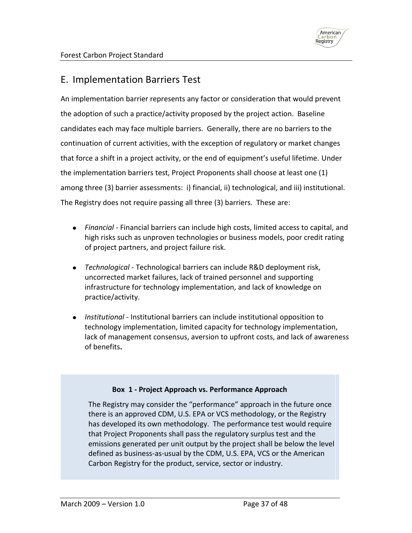

# E. Implementation Barriers Test

An implementation barrier represents any factor or consideration that would prevent the adoption of such a practice/activity proposed by the project action. Baseline candidates each may face multiple barriers. Generally, there are no barriers to the continuation of current activities, with the exception of regulatory or market changes that force a shift in a project activity, or the end of equipment's useful lifetime. Under the implementation barriers test, Project Proponents shall choose at least one (1) among three (3) barrier assessments: i) financial, ii) technological, and iii) institutional. The Registry does not require passing all three (3) barriers. These are:

- *Financial* Financial barriers can include high costs, limited access to capital, and high risks such as unproven technologies or business models, poor credit rating of project partners, and project failure risk.
- *Technological* Technological barriers can include R&D deployment risk, uncorrected market failures, lack of trained personnel and supporting infrastructure for technology implementation, and lack of knowledge on practice/activity.
- *Institutional* Institutional barriers can include institutional opposition to technology implementation, limited capacity for technology implementation, lack of management consensus, aversion to upfront costs, and lack of awareness of benefits**.**

#### **Box 1 - Project Approach vs. Performance Approach**

The Registry may consider the "performance" approach in the future once there is an approved CDM, U.S. EPA or VCS methodology, or the Registry has developed its own methodology. The performance test would require that Project Proponents shall pass the regulatory surplus test and the emissions generated per unit output by the project shall be below the level defined as business-as-usual by the CDM, U.S. EPA, VCS or the American Carbon Registry for the product, service, sector or industry.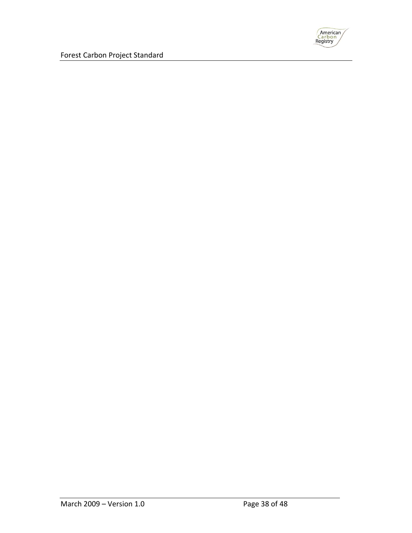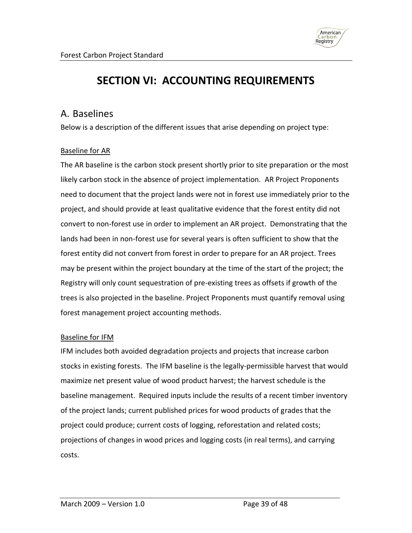

# **SECTION VI: ACCOUNTING REQUIREMENTS**

### A. Baselines

Below is a description of the different issues that arise depending on project type:

#### Baseline for AR

The AR baseline is the carbon stock present shortly prior to site preparation or the most likely carbon stock in the absence of project implementation. AR Project Proponents need to document that the project lands were not in forest use immediately prior to the project, and should provide at least qualitative evidence that the forest entity did not convert to non-forest use in order to implement an AR project. Demonstrating that the lands had been in non-forest use for several years is often sufficient to show that the forest entity did not convert from forest in order to prepare for an AR project. Trees may be present within the project boundary at the time of the start of the project; the Registry will only count sequestration of pre-existing trees as offsets if growth of the trees is also projected in the baseline. Project Proponents must quantify removal using forest management project accounting methods.

#### Baseline for IFM

IFM includes both avoided degradation projects and projects that increase carbon stocks in existing forests. The IFM baseline is the legally-permissible harvest that would maximize net present value of wood product harvest; the harvest schedule is the baseline management. Required inputs include the results of a recent timber inventory of the project lands; current published prices for wood products of grades that the project could produce; current costs of logging, reforestation and related costs; projections of changes in wood prices and logging costs (in real terms), and carrying costs.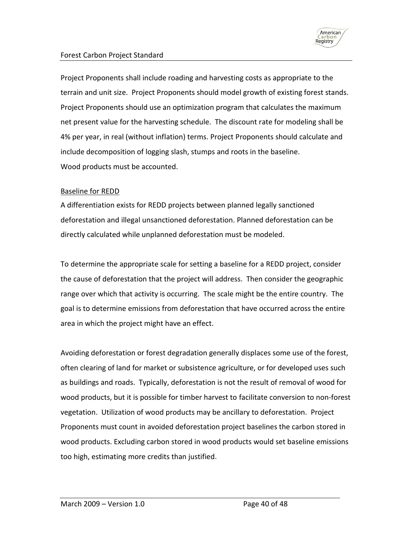

Project Proponents shall include roading and harvesting costs as appropriate to the terrain and unit size. Project Proponents should model growth of existing forest stands. Project Proponents should use an optimization program that calculates the maximum net present value for the harvesting schedule. The discount rate for modeling shall be 4% per year, in real (without inflation) terms. Project Proponents should calculate and include decomposition of logging slash, stumps and roots in the baseline. Wood products must be accounted.

#### Baseline for REDD

A differentiation exists for REDD projects between planned legally sanctioned deforestation and illegal unsanctioned deforestation. Planned deforestation can be directly calculated while unplanned deforestation must be modeled.

To determine the appropriate scale for setting a baseline for a REDD project, consider the cause of deforestation that the project will address. Then consider the geographic range over which that activity is occurring. The scale might be the entire country. The goal is to determine emissions from deforestation that have occurred across the entire area in which the project might have an effect.

Avoiding deforestation or forest degradation generally displaces some use of the forest, often clearing of land for market or subsistence agriculture, or for developed uses such as buildings and roads. Typically, deforestation is not the result of removal of wood for wood products, but it is possible for timber harvest to facilitate conversion to non-forest vegetation. Utilization of wood products may be ancillary to deforestation. Project Proponents must count in avoided deforestation project baselines the carbon stored in wood products. Excluding carbon stored in wood products would set baseline emissions too high, estimating more credits than justified.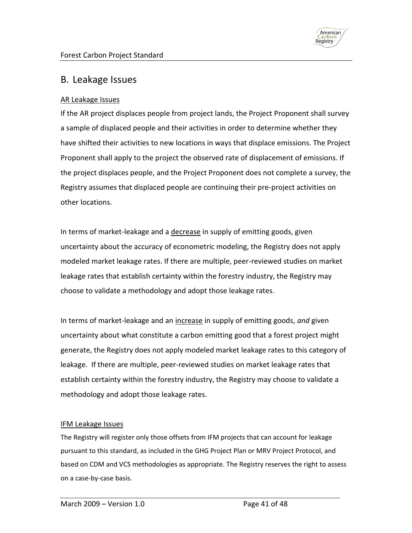

### B. Leakage Issues

#### AR Leakage Issues

If the AR project displaces people from project lands, the Project Proponent shall survey a sample of displaced people and their activities in order to determine whether they have shifted their activities to new locations in ways that displace emissions. The Project Proponent shall apply to the project the observed rate of displacement of emissions. If the project displaces people, and the Project Proponent does not complete a survey, the Registry assumes that displaced people are continuing their pre-project activities on other locations.

In terms of market-leakage and a decrease in supply of emitting goods, given uncertainty about the accuracy of econometric modeling, the Registry does not apply modeled market leakage rates. If there are multiple, peer-reviewed studies on market leakage rates that establish certainty within the forestry industry, the Registry may choose to validate a methodology and adopt those leakage rates.

In terms of market-leakage and an increase in supply of emitting goods, *and* given uncertainty about what constitute a carbon emitting good that a forest project might generate, the Registry does not apply modeled market leakage rates to this category of leakage. If there are multiple, peer-reviewed studies on market leakage rates that establish certainty within the forestry industry, the Registry may choose to validate a methodology and adopt those leakage rates.

#### IFM Leakage Issues

The Registry will register only those offsets from IFM projects that can account for leakage pursuant to this standard, as included in the GHG Project Plan or MRV Project Protocol, and based on CDM and VCS methodologies as appropriate. The Registry reserves the right to assess on a case-by-case basis.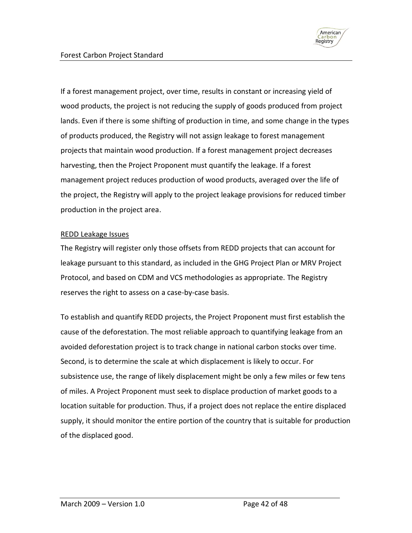

If a forest management project, over time, results in constant or increasing yield of wood products, the project is not reducing the supply of goods produced from project lands. Even if there is some shifting of production in time, and some change in the types of products produced, the Registry will not assign leakage to forest management projects that maintain wood production. If a forest management project decreases harvesting, then the Project Proponent must quantify the leakage. If a forest management project reduces production of wood products, averaged over the life of the project, the Registry will apply to the project leakage provisions for reduced timber production in the project area.

#### REDD Leakage Issues

The Registry will register only those offsets from REDD projects that can account for leakage pursuant to this standard, as included in the GHG Project Plan or MRV Project Protocol, and based on CDM and VCS methodologies as appropriate. The Registry reserves the right to assess on a case-by-case basis.

To establish and quantify REDD projects, the Project Proponent must first establish the cause of the deforestation. The most reliable approach to quantifying leakage from an avoided deforestation project is to track change in national carbon stocks over time. Second, is to determine the scale at which displacement is likely to occur. For subsistence use, the range of likely displacement might be only a few miles or few tens of miles. A Project Proponent must seek to displace production of market goods to a location suitable for production. Thus, if a project does not replace the entire displaced supply, it should monitor the entire portion of the country that is suitable for production of the displaced good.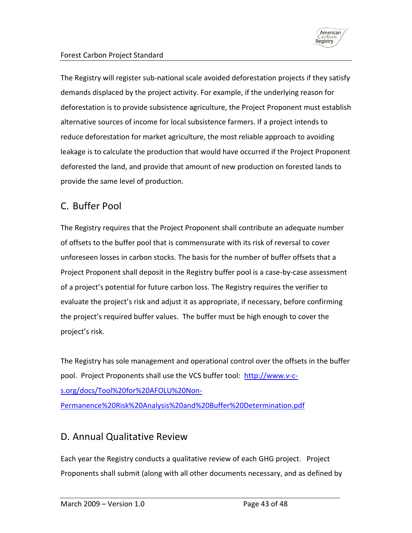

The Registry will register sub-national scale avoided deforestation projects if they satisfy demands displaced by the project activity. For example, if the underlying reason for deforestation is to provide subsistence agriculture, the Project Proponent must establish alternative sources of income for local subsistence farmers. If a project intends to reduce deforestation for market agriculture, the most reliable approach to avoiding leakage is to calculate the production that would have occurred if the Project Proponent deforested the land, and provide that amount of new production on forested lands to provide the same level of production.

# C. Buffer Pool

The Registry requires that the Project Proponent shall contribute an adequate number of offsets to the buffer pool that is commensurate with its risk of reversal to cover unforeseen losses in carbon stocks. The basis for the number of buffer offsets that a Project Proponent shall deposit in the Registry buffer pool is a case-by-case assessment of a project's potential for future carbon loss. The Registry requires the verifier to evaluate the project's risk and adjust it as appropriate, if necessary, before confirming the project's required buffer values. The buffer must be high enough to cover the project's risk.

The Registry has sole management and operational control over the offsets in the buffer pool. Project Proponents shall use the VCS buffer tool: [http://www.v-c](http://www.v-c-s.org/docs/Tool%20for%20AFOLU%20Non-Permanence%20Risk%20Analysis%20and%20Buffer%20Determination.pdf)[s.org/docs/Tool%20for%20AFOLU%20Non-](http://www.v-c-s.org/docs/Tool%20for%20AFOLU%20Non-Permanence%20Risk%20Analysis%20and%20Buffer%20Determination.pdf)[Permanence%20Risk%20Analysis%20and%20Buffer%20Determination.pdf](http://www.v-c-s.org/docs/Tool%20for%20AFOLU%20Non-Permanence%20Risk%20Analysis%20and%20Buffer%20Determination.pdf)

# D. Annual Qualitative Review

Each year the Registry conducts a qualitative review of each GHG project. Project Proponents shall submit (along with all other documents necessary, and as defined by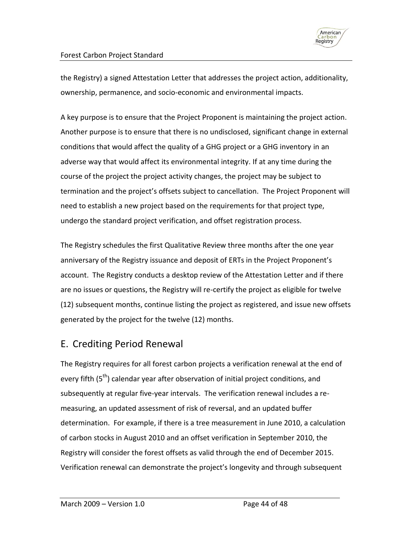

the Registry) a signed Attestation Letter that addresses the project action, additionality, ownership, permanence, and socio-economic and environmental impacts.

A key purpose is to ensure that the Project Proponent is maintaining the project action. Another purpose is to ensure that there is no undisclosed, significant change in external conditions that would affect the quality of a GHG project or a GHG inventory in an adverse way that would affect its environmental integrity. If at any time during the course of the project the project activity changes, the project may be subject to termination and the project's offsets subject to cancellation. The Project Proponent will need to establish a new project based on the requirements for that project type, undergo the standard project verification, and offset registration process.

The Registry schedules the first Qualitative Review three months after the one year anniversary of the Registry issuance and deposit of ERTs in the Project Proponent's account. The Registry conducts a desktop review of the Attestation Letter and if there are no issues or questions, the Registry will re-certify the project as eligible for twelve (12) subsequent months, continue listing the project as registered, and issue new offsets generated by the project for the twelve (12) months.

# E. Crediting Period Renewal

The Registry requires for all forest carbon projects a verification renewal at the end of every fifth (5<sup>th</sup>) calendar year after observation of initial project conditions, and subsequently at regular five-year intervals. The verification renewal includes a remeasuring, an updated assessment of risk of reversal, and an updated buffer determination. For example, if there is a tree measurement in June 2010, a calculation of carbon stocks in August 2010 and an offset verification in September 2010, the Registry will consider the forest offsets as valid through the end of December 2015. Verification renewal can demonstrate the project's longevity and through subsequent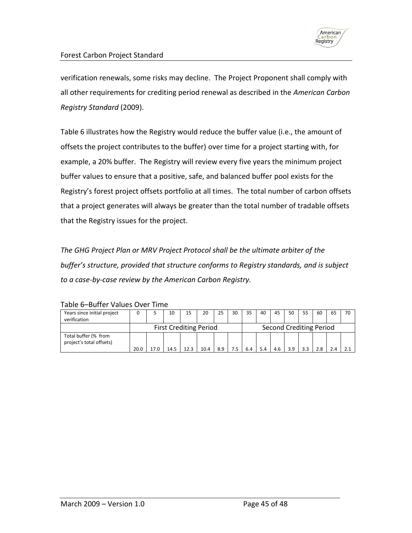

verification renewals, some risks may decline. The Project Proponent shall comply with all other requirements for crediting period renewal as described in the *American Carbon Registry Standard* (2009).

Table 6 illustrates how the Registry would reduce the buffer value (i.e., the amount of offsets the project contributes to the buffer) over time for a project starting with, for example, a 20% buffer. The Registry will review every five years the minimum project buffer values to ensure that a positive, safe, and balanced buffer pool exists for the Registry's forest project offsets portfolio at all times. The total number of carbon offsets that a project generates will always be greater than the total number of tradable offsets that the Registry issues for the project.

*The GHG Project Plan or MRV Project Protocol shall be the ultimate arbiter of the buffer's structure, provided that structure conforms to Registry standards, and is subject to a case-by-case review by the American Carbon Registry.* 

| Years since initial project<br>verification      | 0                             |      | 10   | 15   | 20   | 25  | 30                             | 35  | 40  | 45 | 50  | 55  | 60 | 65 | 70 |
|--------------------------------------------------|-------------------------------|------|------|------|------|-----|--------------------------------|-----|-----|----|-----|-----|----|----|----|
|                                                  | <b>First Crediting Period</b> |      |      |      |      |     | <b>Second Crediting Period</b> |     |     |    |     |     |    |    |    |
| Total buffer (% from<br>project's total offsets) | 20.0                          | 17.0 | 14.5 | 12.3 | 10.4 | 8.9 | 7.5                            | 6.4 | 5.4 |    | 3.9 | 3.3 |    |    |    |

Table 6–Buffer Values Over Time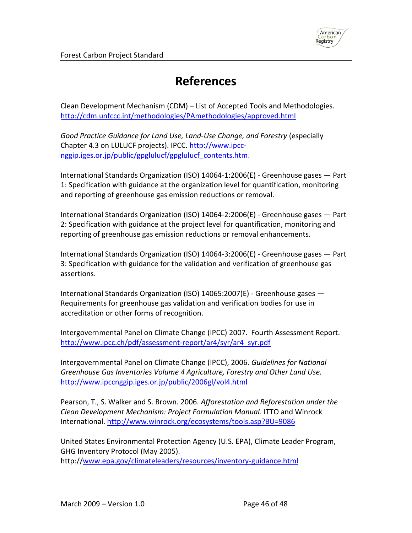

# **References**

Clean Development Mechanism (CDM) – List of Accepted Tools and Methodologies. <http://cdm.unfccc.int/methodologies/PAmethodologies/approved.html>

*Good Practice Guidance for Land Use, Land-Use Change, and Forestry* (especially Chapter 4.3 on LULUCF projects). IPCC. http://www.ipccnggip.iges.or.jp/public/gpglulucf/gpglulucf\_contents.htm.

International Standards Organization (ISO) 14064-1:2006(E) - Greenhouse gases — Part 1: Specification with guidance at the organization level for quantification, monitoring and reporting of greenhouse gas emission reductions or removal.

International Standards Organization (ISO) 14064-2:2006(E) - Greenhouse gases — Part 2: Specification with guidance at the project level for quantification, monitoring and reporting of greenhouse gas emission reductions or removal enhancements.

International Standards Organization (ISO) 14064-3:2006(E) - Greenhouse gases — Part 3: Specification with guidance for the validation and verification of greenhouse gas assertions.

International Standards Organization (ISO) 14065:2007(E) - Greenhouse gases — Requirements for greenhouse gas validation and verification bodies for use in accreditation or other forms of recognition.

Intergovernmental Panel on Climate Change (IPCC) 2007. Fourth Assessment Report. [http://www.ipcc.ch/pdf/assessment-report/ar4/syr/ar4\\_syr.pdf](http://www.ipcc.ch/pdf/assessment-report/ar4/syr/ar4_syr.pdf)

Intergovernmental Panel on Climate Change (IPCC), 2006. *Guidelines for National Greenhouse Gas Inventories Volume 4 Agriculture, Forestry and Other Land Use.*  http://www.ipccnggip.iges.or.jp/public/2006gl/vol4.html

Pearson, T., S. Walker and S. Brown. 2006. *Afforestation and Reforestation under the Clean Development Mechanism: Project Formulation Manual*. ITTO and Winrock International. <http://www.winrock.org/ecosystems/tools.asp?BU=9086>

United States Environmental Protection Agency (U.S. EPA), Climate Leader Program, GHG Inventory Protocol (May 2005).

http:/[/www.epa.gov/climateleaders/resources/inventory-guidance.html](http://www.epa.gov/climateleaders/resources/inventory-guidance.html)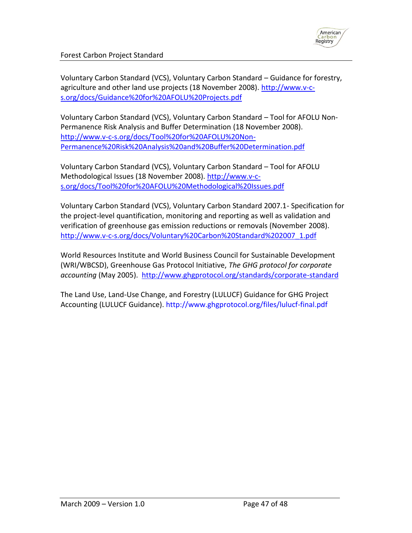

Voluntary Carbon Standard (VCS), Voluntary Carbon Standard – Guidance for forestry, agriculture and other land use projects (18 November 2008). [http://www.v-c](http://www.v-c-s.org/docs/Guidance%20for%20AFOLU%20Projects.pdf)[s.org/docs/Guidance%20for%20AFOLU%20Projects.pdf](http://www.v-c-s.org/docs/Guidance%20for%20AFOLU%20Projects.pdf)

Voluntary Carbon Standard (VCS), Voluntary Carbon Standard – Tool for AFOLU Non-Permanence Risk Analysis and Buffer Determination (18 November 2008). [http://www.v-c-s.org/docs/Tool%20for%20AFOLU%20Non-](http://www.v-c-s.org/docs/Tool%20for%20AFOLU%20Non-Permanence%20Risk%20Analysis%20and%20Buffer%20Determination.pdf)[Permanence%20Risk%20Analysis%20and%20Buffer%20Determination.pdf](http://www.v-c-s.org/docs/Tool%20for%20AFOLU%20Non-Permanence%20Risk%20Analysis%20and%20Buffer%20Determination.pdf)

Voluntary Carbon Standard (VCS), Voluntary Carbon Standard – Tool for AFOLU Methodological Issues (18 November 2008). [http://www.v-c](http://www.v-c-s.org/docs/Tool%20for%20AFOLU%20Methodological%20Issues.pdf)[s.org/docs/Tool%20for%20AFOLU%20Methodological%20Issues.pdf](http://www.v-c-s.org/docs/Tool%20for%20AFOLU%20Methodological%20Issues.pdf)

Voluntary Carbon Standard (VCS), Voluntary Carbon Standard 2007.1- Specification for the project-level quantification, monitoring and reporting as well as validation and verification of greenhouse gas emission reductions or removals (November 2008). [http://www.v-c-s.org/docs/Voluntary%20Carbon%20Standard%202007\\_1.pdf](http://www.v-c-s.org/docs/Voluntary%20Carbon%20Standard%202007_1.pdf)

World Resources Institute and World Business Council for Sustainable Development (WRI/WBCSD), Greenhouse Gas Protocol Initiative, *The GHG protocol for corporate accounting* (May 2005).<http://www.ghgprotocol.org/standards/corporate-standard>

The Land Use, Land-Use Change, and Forestry (LULUCF) Guidance for GHG Project Accounting (LULUCF Guidance). http://www.ghgprotocol.org/files/lulucf-final.pdf